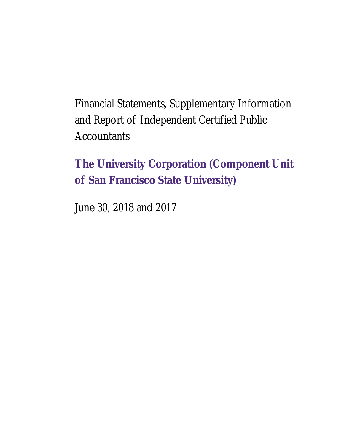Financial Statements, Supplementary Information and Report of Independent Certified Public **Accountants** 

**The University Corporation (Component Unit of San Francisco State University)** 

June 30, 2018 and 2017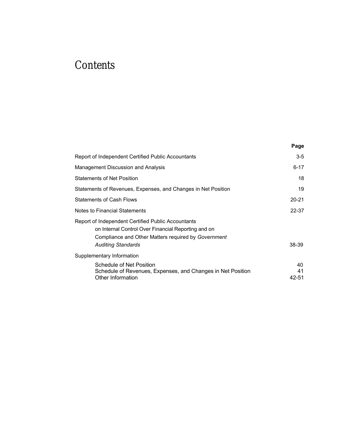# **Contents**

|                                                                                                                                                                                               | Page              |
|-----------------------------------------------------------------------------------------------------------------------------------------------------------------------------------------------|-------------------|
| Report of Independent Certified Public Accountants                                                                                                                                            | $3 - 5$           |
| Management Discussion and Analysis                                                                                                                                                            | 6-17              |
| <b>Statements of Net Position</b>                                                                                                                                                             | 18                |
| Statements of Revenues, Expenses, and Changes in Net Position                                                                                                                                 | 19                |
| <b>Statements of Cash Flows</b>                                                                                                                                                               | $20 - 21$         |
| Notes to Financial Statements                                                                                                                                                                 | 22-37             |
| Report of Independent Certified Public Accountants<br>on Internal Control Over Financial Reporting and on<br>Compliance and Other Matters required by Government<br><b>Auditing Standards</b> | 38-39             |
| Supplementary Information                                                                                                                                                                     |                   |
| Schedule of Net Position<br>Schedule of Revenues, Expenses, and Changes in Net Position<br>Other Information                                                                                  | 40<br>41<br>42-51 |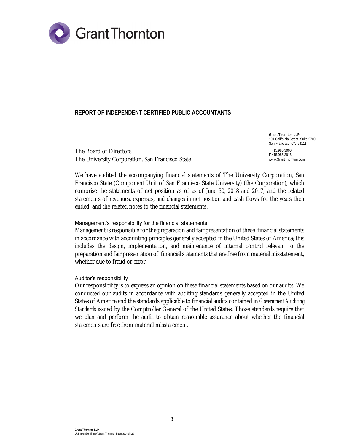

#### **REPORT OF INDEPENDENT CERTIFIED PUBLIC ACCOUNTANTS**

The Board of Directors The University Corporation, San Francisco State

**Grant Thornton LLP**  101 California Street, Suite 2700 San Francisco, CA 94111 T 415.986.3900 F 415.986.3916 [www.GrantThornton.com](http://www.GrantThornton.com)

We have audited the accompanying financial statements of The University Corporation, San Francisco State (Component Unit of San Francisco State University) (the Corporation), which comprise the statements of net position as of as of June 30, 2018 and 2017, and the related statements of revenues, expenses, and changes in net position and cash flows for the years then ended, and the related notes to the financial statements.

#### Management's responsibility for the financial statements

Management is responsible for the preparation and fair presentation of these financial statements in accordance with accounting principles generally accepted in the United States of America; this includes the design, implementation, and maintenance of internal control relevant to the preparation and fair presentation of financial statements that are free from material misstatement, whether due to fraud or error.

#### Auditor's responsibility

Our responsibility is to express an opinion on these financial statements based on our audits. We conducted our audits in accordance with auditing standards generally accepted in the United States of America and the standards applicable to financial audits contained in *Government Auditing Standards* issued by the Comptroller General of the United States. Those standards require that we plan and perform the audit to obtain reasonable assurance about whether the financial statements are free from material misstatement.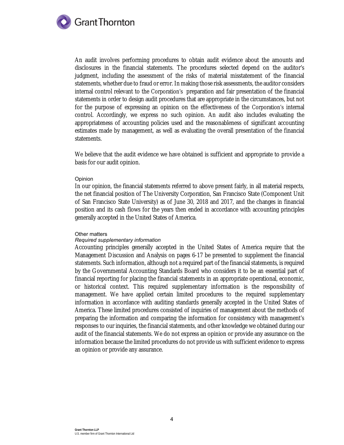

An audit involves performing procedures to obtain audit evidence about the amounts and disclosures in the financial statements. The procedures selected depend on the auditor's judgment, including the assessment of the risks of material misstatement of the financial statements, whether due to fraud or error. In making those risk assessments, the auditor considers internal control relevant to the Corporation's preparation and fair presentation of the financial statements in order to design audit procedures that are appropriate in the circumstances, but not for the purpose of expressing an opinion on the effectiveness of the Corporation's internal control. Accordingly, we express no such opinion. An audit also includes evaluating the appropriateness of accounting policies used and the reasonableness of significant accounting estimates made by management, as well as evaluating the overall presentation of the financial statements.

We believe that the audit evidence we have obtained is sufficient and appropriate to provide a basis for our audit opinion.

#### Opinion

In our opinion, the financial statements referred to above present fairly, in all material respects, the net financial position of The University Corporation, San Francisco State (Component Unit of San Francisco State University) as of June 30, 2018 and 2017, and the changes in financial position and its cash flows for the years then ended in accordance with accounting principles generally accepted in the United States of America.

#### Other matters

#### *Required supplementary information*

Accounting principles generally accepted in the United States of America require that the Management Discussion and Analysis on pages 6-17 be presented to supplement the financial statements. Such information, although not a required part of the financial statements, is required by the Governmental Accounting Standards Board who considers it to be an essential part of financial reporting for placing the financial statements in an appropriate operational, economic, or historical context. This required supplementary information is the responsibility of management. We have applied certain limited procedures to the required supplementary information in accordance with auditing standards generally accepted in the United States of America. These limited procedures consisted of inquiries of management about the methods of preparing the information and comparing the information for consistency with management's responses to our inquiries, the financial statements, and other knowledge we obtained during our audit of the financial statements. We do not express an opinion or provide any assurance on the information because the limited procedures do not provide us with sufficient evidence to express an opinion or provide any assurance.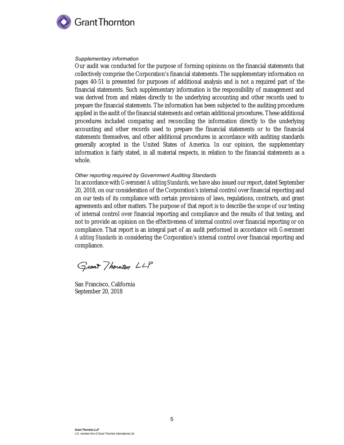

#### *Supplementary information*

Our audit was conducted for the purpose of forming opinions on the financial statements that collectively comprise the Corporation's financial statements. The supplementary information on pages 40-51 is presented for purposes of additional analysis and is not a required part of the financial statements. Such supplementary information is the responsibility of management and was derived from and relates directly to the underlying accounting and other records used to prepare the financial statements. The information has been subjected to the auditing procedures applied in the audit of the financial statements and certain additional procedures. These additional procedures included comparing and reconciling the information directly to the underlying accounting and other records used to prepare the financial statements or to the financial statements themselves, and other additional procedures in accordance with auditing standards generally accepted in the United States of America. In our opinion, the supplementary information is fairly stated, in all material respects, in relation to the financial statements as a whole.

#### *Other reporting required by Government Auditing Standards*

In accordance with *Government Auditing Standards*, we have also issued our report, dated September 20, 2018, on our consideration of the Corporation's internal control over financial reporting and on our tests of its compliance with certain provisions of laws, regulations, contracts, and grant agreements and other matters. The purpose of that report is to describe the scope of our testing of internal control over financial reporting and compliance and the results of that testing, and not to provide an opinion on the effectiveness of internal control over financial reporting or on compliance. That report is an integral part of an audit performed in accordance *with Government Auditing Standards* in considering the Corporation's internal control over financial reporting and compliance.

Grant Thornton LLP

San Francisco, California September 20, 2018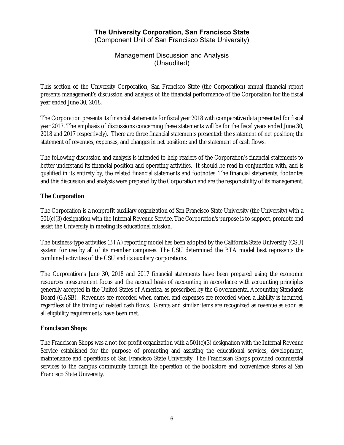Management Discussion and Analysis (Unaudited)

This section of the University Corporation, San Francisco State (the Corporation) annual financial report presents management's discussion and analysis of the financial performance of the Corporation for the fiscal year ended June 30, 2018.

The Corporation presents its financial statements for fiscal year 2018 with comparative data presented for fiscal year 2017. The emphasis of discussions concerning these statements will be for the fiscal years ended June 30, 2018 and 2017 respectively). There are three financial statements presented: the statement of net position; the statement of revenues, expenses, and changes in net position; and the statement of cash flows.

The following discussion and analysis is intended to help readers of the Corporation's financial statements to better understand its financial position and operating activities. It should be read in conjunction with, and is qualified in its entirety by, the related financial statements and footnotes. The financial statements, footnotes and this discussion and analysis were prepared by the Corporation and are the responsibility of its management.

### **The Corporation**

The Corporation is a nonprofit auxiliary organization of San Francisco State University (the University) with a 501(c)(3) designation with the Internal Revenue Service. The Corporation's purpose is to support, promote and assist the University in meeting its educational mission.

The business-type activities (BTA) reporting model has been adopted by the California State University (CSU) system for use by all of its member campuses. The CSU determined the BTA model best represents the combined activities of the CSU and its auxiliary corporations.

The Corporation's June 30, 2018 and 2017 financial statements have been prepared using the economic resources measurement focus and the accrual basis of accounting in accordance with accounting principles generally accepted in the United States of America, as prescribed by the Governmental Accounting Standards Board (GASB). Revenues are recorded when earned and expenses are recorded when a liability is incurred, regardless of the timing of related cash flows. Grants and similar items are recognized as revenue as soon as all eligibility requirements have been met.

#### **Franciscan Shops**

The Franciscan Shops was a not-for-profit organization with a 501(c)(3) designation with the Internal Revenue Service established for the purpose of promoting and assisting the educational services, development, maintenance and operations of San Francisco State University. The Franciscan Shops provided commercial services to the campus community through the operation of the bookstore and convenience stores at San Francisco State University.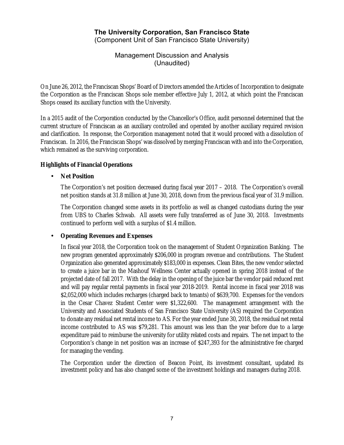Management Discussion and Analysis (Unaudited)

On June 26, 2012, the Franciscan Shops' Board of Directors amended the Articles of Incorporation to designate the Corporation as the Franciscan Shops sole member effective July 1, 2012, at which point the Franciscan Shops ceased its auxiliary function with the University.

In a 2015 audit of the Corporation conducted by the Chancellor's Office, audit personnel determined that the current structure of Franciscan as an auxiliary controlled and operated by another auxiliary required revision and clarification. In response, the Corporation management noted that it would proceed with a dissolution of Franciscan. In 2016, the Franciscan Shops' was dissolved by merging Franciscan with and into the Corporation, which remained as the surviving corporation.

### **Highlights of Financial Operations**

### • **Net Position**

The Corporation's net position decreased during fiscal year 2017 – 2018. The Corporation's overall net position stands at 31.8 million at June 30, 2018, down from the previous fiscal year of 31.9 million.

The Corporation changed some assets in its portfolio as well as changed custodians during the year from UBS to Charles Schwab. All assets were fully transferred as of June 30, 2018. Investments continued to perform well with a surplus of \$1.4 million.

#### • **Operating Revenues and Expenses**

In fiscal year 2018, the Corporation took on the management of Student Organization Banking. The new program generated approximately \$206,000 in program revenue and contributions. The Student Organization also generated approximately \$183,000 in expenses. Clean Bites, the new vendor selected to create a juice bar in the Mashouf Wellness Center actually opened in spring 2018 instead of the projected date of fall 2017. With the delay in the opening of the juice bar the vendor paid reduced rent and will pay regular rental payments in fiscal year 2018-2019. Rental income in fiscal year 2018 was \$2,052,000 which includes recharges (charged back to tenants) of \$639,700. Expenses for the vendors in the Cesar Chavez Student Center were \$1,322,600. The management arrangement with the University and Associated Students of San Francisco State University (AS) required the Corporation to donate any residual net rental income to AS. For the year ended June 30, 2018, the residual net rental income contributed to AS was \$79,281. This amount was less than the year before due to a large expenditure paid to reimburse the university for utility related costs and repairs. The net impact to the Corporation's change in net position was an increase of \$247,393 for the administrative fee charged for managing the vending.

The Corporation under the direction of Beacon Point, its investment consultant, updated its investment policy and has also changed some of the investment holdings and managers during 2018.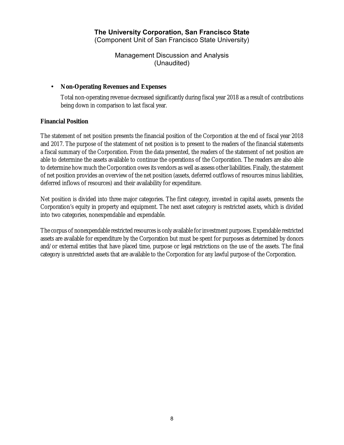Management Discussion and Analysis (Unaudited)

#### • **Non-Operating Revenues and Expenses**

Total non-operating revenue decreased significantly during fiscal year 2018 as a result of contributions being down in comparison to last fiscal year.

#### **Financial Position**

The statement of net position presents the financial position of the Corporation at the end of fiscal year 2018 and 2017. The purpose of the statement of net position is to present to the readers of the financial statements a fiscal summary of the Corporation. From the data presented, the readers of the statement of net position are able to determine the assets available to continue the operations of the Corporation. The readers are also able to determine how much the Corporation owes its vendors as well as assess other liabilities. Finally, the statement of net position provides an overview of the net position (assets, deferred outflows of resources minus liabilities, deferred inflows of resources) and their availability for expenditure.

Net position is divided into three major categories. The first category, invested in capital assets, presents the Corporation's equity in property and equipment. The next asset category is restricted assets, which is divided into two categories, nonexpendable and expendable.

The corpus of nonexpendable restricted resourcesis only available for investment purposes. Expendable restricted assets are available for expenditure by the Corporation but must be spent for purposes as determined by donors and/or external entities that have placed time, purpose or legal restrictions on the use of the assets. The final category is unrestricted assets that are available to the Corporation for any lawful purpose of the Corporation.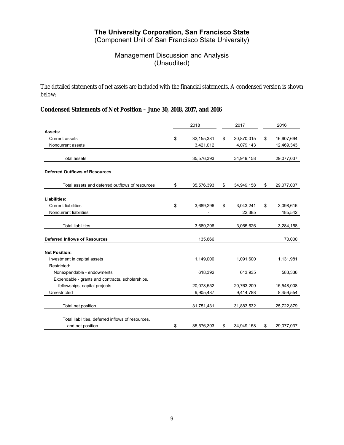(Component Unit of San Francisco State University)

## Management Discussion and Analysis (Unaudited)

The detailed statements of net assets are included with the financial statements. A condensed version is shown below:

## **Condensed Statements of Net Position – June 30, 2018, 2017, and 2016**

|                                                   | 2018               | 2017             | 2016             |  |
|---------------------------------------------------|--------------------|------------------|------------------|--|
| Assets:                                           |                    |                  |                  |  |
| Current assets                                    | \$<br>32, 155, 381 | \$<br>30,870,015 | \$<br>16,607,694 |  |
| Noncurrent assets                                 | 3,421,012          | 4,079,143        | 12,469,343       |  |
|                                                   |                    |                  |                  |  |
| <b>Total assets</b>                               | 35,576,393         | 34,949,158       | 29,077,037       |  |
| <b>Deferred Outflows of Resources</b>             |                    |                  |                  |  |
| Total assets and deferred outflows of resources   | \$<br>35,576,393   | \$<br>34,949,158 | \$<br>29,077,037 |  |
| Liabilities:                                      |                    |                  |                  |  |
| <b>Current liabilities</b>                        | \$<br>3,689,296    | \$<br>3,043,241  | \$<br>3,098,616  |  |
| Noncurrent liabilities                            |                    | 22,385           | 185,542          |  |
|                                                   |                    |                  |                  |  |
| <b>Total liabilities</b>                          | 3,689,296          | 3,065,626        | 3,284,158        |  |
| <b>Deferred Inflows of Resources</b>              | 135,666            |                  | 70,000           |  |
|                                                   |                    |                  |                  |  |
| <b>Net Position:</b>                              |                    |                  |                  |  |
| Investment in capital assets                      | 1,149,000          | 1,091,600        | 1,131,981        |  |
| Restricted:                                       |                    |                  |                  |  |
| Nonexpendable - endowments                        | 618,392            | 613,935          | 583,336          |  |
| Expendable - grants and contracts, scholarships,  |                    |                  |                  |  |
| fellowships, capital projects                     | 20,078,552         | 20,763,209       | 15,548,008       |  |
| Unrestricted                                      | 9,905,487          | 9,414,788        | 8,459,554        |  |
| Total net position                                | 31,751,431         | 31,883,532       | 25,722,879       |  |
|                                                   |                    |                  |                  |  |
| Total liabilities, deferred inflows of resources, |                    |                  |                  |  |
| and net position                                  | \$<br>35,576,393   | \$<br>34,949,158 | \$<br>29,077,037 |  |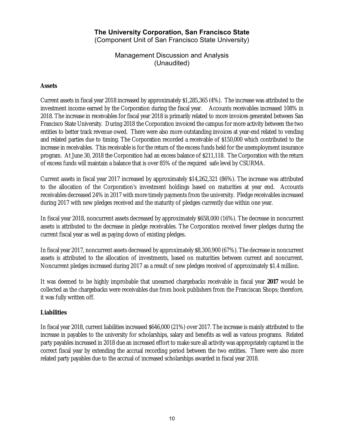Management Discussion and Analysis (Unaudited)

#### **Assets**

Current assets in fiscal year 2018 increased by approximately \$1,285,365 (4%). The increase was attributed to the investment income earned by the Corporation during the fiscal year. Accounts receivables increased 108% in 2018. The increase in receivables for fiscal year 2018 is primarily related to more invoices generated between San Francisco State University. During 2018 the Corporation invoiced the campus for more activity between the two entities to better track revenue owed. There were also more outstanding invoices at year-end related to vending and related parties due to timing. The Corporation recorded a receivable of \$150,000 which contributed to the increase in receivables. This receivable is for the return of the excess funds held for the unemployment insurance program. At June 30, 2018 the Corporation had an excess balance of \$211,118. The Corporation with the return of excess funds will maintain a balance that is over 85% of the required safe level by CSURMA.

Current assets in fiscal year 2017 increased by approximately \$14,262,321 (86%). The increase was attributed to the allocation of the Corporation's investment holdings based on maturities at year end. Accounts receivables decreased 24% in 2017 with more timely payments from the university. Pledge receivables increased during 2017 with new pledges received and the maturity of pledges currently due within one year.

In fiscal year 2018, noncurrent assets decreased by approximately \$658,000 (16%). The decrease in noncurrent assets is attributed to the decrease in pledge receivables. The Corporation received fewer pledges during the current fiscal year as well as paying down of existing pledges.

In fiscal year 2017, noncurrent assets decreased by approximately \$8,300,900 (67%). The decrease in noncurrent assets is attributed to the allocation of investments, based on maturities between current and noncurrent. Noncurrent pledges increased during 2017 as a result of new pledges received of approximately \$1.4 million.

It was deemed to be highly improbable that unearned chargebacks receivable in fiscal year **2017** would be collected as the chargebacks were receivables due from book publishers from the Franciscan Shops; therefore, it was fully written off.

#### **Liabilities**

In fiscal year 2018, current liabilities increased \$646,000 (21%) over 2017. The increase is mainly attributed to the increase in payables to the university for scholarships, salary and benefits as well as various programs. Related party payables increased in 2018 due an increased effort to make sure all activity was appropriately captured in the correct fiscal year by extending the accrual recording period between the two entities. There were also more related party payables due to the accrual of increased scholarships awarded in fiscal year 2018.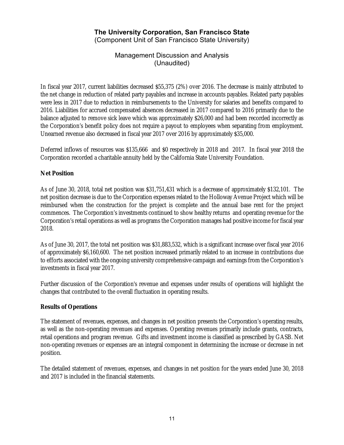(Component Unit of San Francisco State University)

Management Discussion and Analysis (Unaudited)

In fiscal year 2017, current liabilities decreased \$55,375 (2%) over 2016. The decrease is mainly attributed to the net change in reduction of related party payables and increase in accounts payables. Related party payables were less in 2017 due to reduction in reimbursements to the University for salaries and benefits compared to 2016. Liabilities for accrued compensated absences decreased in 2017 compared to 2016 primarily due to the balance adjusted to remove sick leave which was approximately \$26,000 and had been recorded incorrectly as the Corporation's benefit policy does not require a payout to employees when separating from employment. Unearned revenue also decreased in fiscal year 2017 over 2016 by approximately \$35,000.

Deferred inflows of resources was \$135,666 and \$0 respectively in 2018 and 2017. In fiscal year 2018 the Corporation recorded a charitable annuity held by the California State University Foundation.

#### **Net Position**

As of June 30, 2018, total net position was \$31,751,431 which is a decrease of approximately \$132,101. The net position decrease is due to the Corporation expenses related to the Holloway Avenue Project which will be reimbursed when the construction for the project is complete and the annual base rent for the project commences. The Corporation's investments continued to show healthy returns and operating revenue for the Corporation's retail operations as well as programs the Corporation manages had positive income for fiscal year 2018.

As of June 30, 2017, the total net position was \$31,883,532, which is a significant increase over fiscal year 2016 of approximately \$6,160,600. The net position increased primarily related to an increase in contributions due to efforts associated with the ongoing university comprehensive campaign and earnings from the Corporation's investments in fiscal year 2017.

Further discussion of the Corporation's revenue and expenses under results of operations will highlight the changes that contributed to the overall fluctuation in operating results.

#### **Results of Operations**

The statement of revenues, expenses, and changes in net position presents the Corporation's operating results, as well as the non-operating revenues and expenses. Operating revenues primarily include grants, contracts, retail operations and program revenue. Gifts and investment income is classified as prescribed by GASB. Net non-operating revenues or expenses are an integral component in determining the increase or decrease in net position.

The detailed statement of revenues, expenses, and changes in net position for the years ended June 30, 2018 and 2017 is included in the financial statements.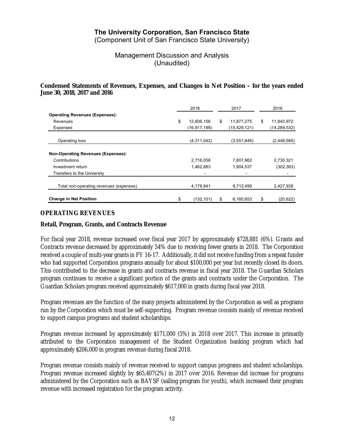(Component Unit of San Francisco State University)

Management Discussion and Analysis (Unaudited)

#### **Condensed Statements of Revenues, Expenses, and Changes in Net Position – for the years ended June 30, 2018, 2017 and 2016**

|                                           | 2018 |               |    | 2017           | 2016 |                |
|-------------------------------------------|------|---------------|----|----------------|------|----------------|
| <b>Operating Revenues (Expenses):</b>     |      |               |    |                |      |                |
| Revenues                                  | \$   | 12,606,156    | \$ | 11,877,275     | \$   | 11,840,972     |
| Expenses                                  |      | (16.917, 198) |    | (15, 429, 121) |      | (14, 289, 532) |
| Operating loss                            |      | (4,311,042)   |    | (3,551,846)    |      | (2,448,560)    |
| <b>Non-Operating Revenues (Expenses):</b> |      |               |    |                |      |                |
| Contributions                             |      | 2,716,058     |    | 7,807,962      |      | 2,730,321      |
| Investment return                         |      | 1,462,883     |    | 1,904,537      |      | (302, 383)     |
| Transfers to the University               |      |               |    |                |      |                |
| Total non-operating revenues (expenses)   |      | 4,178,941     |    | 9,712,499      |      | 2,427,938      |
| <b>Change in Net Position</b>             | \$   | (132, 101)    | \$ | 6.160.653      | \$   | (20, 622)      |

#### **OPERATING REVENUES**

#### **Retail, Program, Grants, and Contracts Revenue**

For fiscal year 2018, revenue increased over fiscal year 2017 by approximately \$728,881 (6%). Grants and Contracts revenue decreased by approximately 54% due to receiving fewer grants in 2018. The Corporation received a couple of multi-year grants in FY 16-17. Additionally, it did not receive funding from a repeat funder who had supported Corporation programs annually for about \$100,000 per year but recently closed its doors. This contributed to the decrease in grants and contracts revenue in fiscal year 2018. The Guardian Scholars program continues to receive a significant portion of the grants and contracts under the Corporation. The Guardian Scholars program received approximately \$617,000 in grants during fiscal year 2018.

Program revenues are the function of the many projects administered by the Corporation as well as programs run by the Corporation which must be self-supporting. Program revenue consists mainly of revenue received to support campus programs and student scholarships.

Program revenue increased by approximately \$171,000 (5%) in 2018 over 2017. This increase in primarily attributed to the Corporation management of the Student Organization banking program which had approximately \$206,000 in program revenue during fiscal 2018.

Program revenue consists mainly of revenue received to support campus programs and student scholarships. Program revenue increased slightly by \$65,407(2%) in 2017 over 2016. Revenue did increase for programs administered by the Corporation such as BAYSF (sailing program for youth), which increased their program revenue with increased registration for the program activity.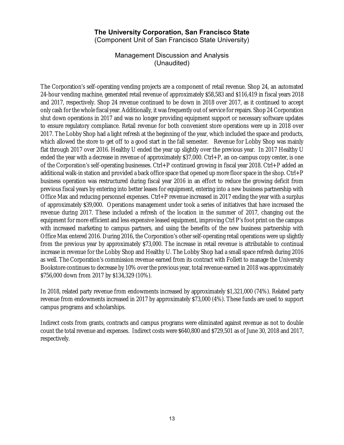(Component Unit of San Francisco State University)

Management Discussion and Analysis (Unaudited)

The Corporation's self-operating vending projects are a component of retail revenue. Shop 24, an automated 24-hour vending machine, generated retail revenue of approximately \$58,583 and \$116,419 in fiscal years 2018 and 2017, respectively. Shop 24 revenue continued to be down in 2018 over 2017, as it continued to accept only cash for the whole fiscal year. Additionally, it was frequently out of service for repairs. Shop 24 Corporation shut down operations in 2017 and was no longer providing equipment support or necessary software updates to ensure regulatory compliance. Retail revenue for both convenient store operations were up in 2018 over 2017. The Lobby Shop had a light refresh at the beginning of the year, which included the space and products, which allowed the store to get off to a good start in the fall semester. Revenue for Lobby Shop was mainly flat through 2017 over 2016. Healthy U ended the year up slightly over the previous year. In 2017 Healthy U ended the year with a decrease in revenue of approximately \$37,000. Ctrl+P, an on-campus copy center, is one of the Corporation's self-operating businesses. Ctrl+P continued growing in fiscal year 2018. Ctrl+P added an additional walk-in station and provided a back office space that opened up more floor space in the shop. Ctrl+P business operation was restructured during fiscal year 2016 in an effort to reduce the growing deficit from previous fiscal years by entering into better leases for equipment, entering into a new business partnership with Office Max and reducing personnel expenses. Ctrl+P revenue increased in 2017 ending the year with a surplus of approximately \$39,000. Operations management under took a series of initiatives that have increased the revenue during 2017. These included a refresh of the location in the summer of 2017, changing out the equipment for more efficient and less expensive leased equipment, improving Ctrl P's foot print on the campus with increased marketing to campus partners, and using the benefits of the new business partnership with Office Max entered 2016. During 2016, the Corporation's other self-operating retail operations were up slightly from the previous year by approximately \$73,000. The increase in retail revenue is attributable to continual increase in revenue for the Lobby Shop and Healthy U. The Lobby Shop had a small space refresh during 2016 as well. The Corporation's commission revenue earned from its contract with Follett to manage the University Bookstore continues to decrease by 10% over the previous year, total revenue earned in 2018 was approximately \$756,000 down from 2017 by \$134,329 (10%).

In 2018, related party revenue from endowments increased by approximately \$1,321,000 (74%). Related party revenue from endowments increased in 2017 by approximately \$73,000 (4%). These funds are used to support campus programs and scholarships.

Indirect costs from grants, contracts and campus programs were eliminated against revenue as not to double count the total revenue and expenses. Indirect costs were \$640,800 and \$729,501 as of June 30, 2018 and 2017, respectively.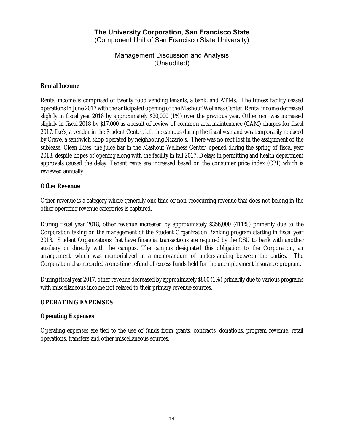Management Discussion and Analysis (Unaudited)

#### **Rental Income**

Rental income is comprised of twenty food vending tenants, a bank, and ATMs. The fitness facility ceased operations in June 2017 with the anticipated opening of the Mashouf Wellness Center. Rental income decreased slightly in fiscal year 2018 by approximately \$20,000 (1%) over the previous year. Other rent was increased slightly in fiscal 2018 by \$17,000 as a result of review of common area maintenance (CAM) charges for fiscal 2017. Ike's, a vendor in the Student Center, left the campus during the fiscal year and was temporarily replaced by Crave, a sandwich shop operated by neighboring Nizario's. There was no rent lost in the assignment of the sublease. Clean Bites, the juice bar in the Mashouf Wellness Center, opened during the spring of fiscal year 2018, despite hopes of opening along with the facility in fall 2017. Delays in permitting and health department approvals caused the delay. Tenant rents are increased based on the consumer price index (CPI) which is reviewed annually.

#### **Other Revenue**

Other revenue is a category where generally one time or non-reoccurring revenue that does not belong in the other operating revenue categories is captured.

During fiscal year 2018, other revenue increased by approximately \$356,000 (411%) primarily due to the Corporation taking on the management of the Student Organization Banking program starting in fiscal year 2018. Student Organizations that have financial transactions are required by the CSU to bank with another auxiliary or directly with the campus. The campus designated this obligation to the Corporation, an arrangement, which was memorialized in a memorandum of understanding between the parties. The Corporation also recorded a one-time refund of excess funds held for the unemployment insurance program.

During fiscal year 2017, other revenue decreased by approximately \$800 (1%) primarily due to various programs with miscellaneous income not related to their primary revenue sources.

#### **OPERATING EXPENSES**

#### **Operating Expenses**

Operating expenses are tied to the use of funds from grants, contracts, donations, program revenue, retail operations, transfers and other miscellaneous sources.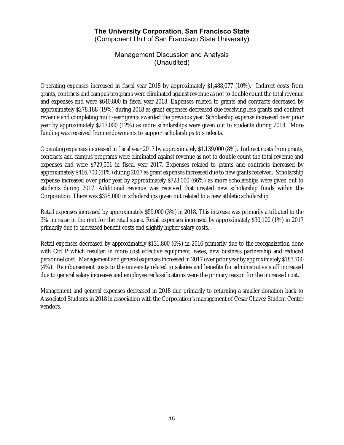(Component Unit of San Francisco State University)

Management Discussion and Analysis (Unaudited)

Operating expenses increased in fiscal year 2018 by approximately \$1,488,077 (10%). Indirect costs from grants, contracts and campus programs were eliminated against revenue as not to double count the total revenue and expenses and were \$640,800 in fiscal year 2018. Expenses related to grants and contracts decreased by approximately \$278,188 (19%) during 2018 as grant expenses decreased due receiving less grants and contract revenue and completing multi-year grants awarded the previous year. Scholarship expense increased over prior year by approximately \$217,000 (12%) as more scholarships were given out to students during 2018. More funding was received from endowments to support scholarships to students.

Operating expenses increased in fiscal year 2017 by approximately \$1,139,000 (8%). Indirect costs from grants, contracts and campus programs were eliminated against revenue as not to double count the total revenue and expenses and were \$729,501 in fiscal year 2017. Expenses related to grants and contracts increased by approximately \$416,700 (41%) during 2017 as grant expenses increased due to new grants received. Scholarship expense increased over prior year by approximately \$728,000 (66%) as more scholarships were given out to students during 2017. Additional revenue was received that created new scholarship funds within the Corporation. There was \$375,000 in scholarships given out related to a new athletic scholarship

Retail expenses increased by approximately \$59,000 (3%) in 2018. This increase was primarily attributed to the 3% increase in the rent for the retail space. Retail expenses increased by approximately \$30,100 (1%) in 2017 primarily due to increased benefit costs and slightly higher salary costs.

Retail expenses decreased by approximately \$131,800 (6%) in 2016 primarily due to the reorganization done with Ctrl P which resulted in more cost effective equipment leases, new business partnership and reduced personnel cost. Management and general expenses increased in 2017 over prior year by approximately \$183,700 (4%). Reimbursement costs to the university related to salaries and benefits for administrative staff increased due to general salary increases and employee reclassifications were the primary reason for the increased cost.

Management and general expenses decreased in 2018 due primarily to returning a smaller donation back to Associated Students in 2018 in association with the Corporation's management of Cesar Chavez Student Center vendors.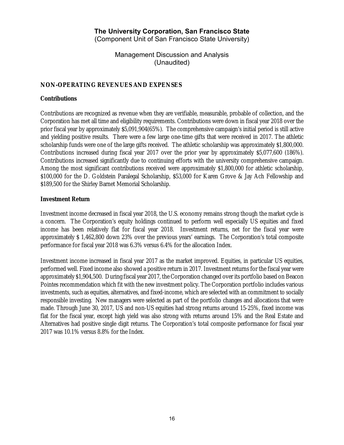(Component Unit of San Francisco State University)

Management Discussion and Analysis (Unaudited)

#### **NON-OPERATING REVENUES AND EXPENSES**

#### **Contributions**

Contributions are recognized as revenue when they are verifiable, measurable, probable of collection, and the Corporation has met all time and eligibility requirements. Contributions were down in fiscal year 2018 over the prior fiscal year by approximately \$5,091,904(65%). The comprehensive campaign's initial period is still active and yielding positive results. There were a few large one-time gifts that were received in 2017. The athletic scholarship funds were one of the large gifts received. The athletic scholarship was approximately \$1,800,000. Contributions increased during fiscal year 2017 over the prior year by approximately \$5,077,600 (186%). Contributions increased significantly due to continuing efforts with the university comprehensive campaign. Among the most significant contributions received were approximately \$1,800,000 for athletic scholarship, \$100,000 for the D. Goldstein Paralegal Scholarship, \$53,000 for Karen Grove & Jay Ach Fellowship and \$189,500 for the Shirley Barnet Memorial Scholarship.

#### **Investment Return**

Investment income decreased in fiscal year 2018, the U.S. economy remains strong though the market cycle is a concern. The Corporation's equity holdings continued to perform well especially US equities and fixed income has been relatively flat for fiscal year 2018. Investment returns, net for the fiscal year were approximately \$ 1,462,800 down 23% over the previous years' earnings. The Corporation's total composite performance for fiscal year 2018 was 6.3% versus 6.4% for the allocation Index.

Investment income increased in fiscal year 2017 as the market improved. Equities, in particular US equities, performed well. Fixed income also showed a positive return in 2017. Investment returns for the fiscal year were approximately \$1,904,500. During fiscal year 2017, the Corporation changed over its portfolio based on Beacon Pointes recommendation which fit with the new investment policy. The Corporation portfolio includes various investments, such as equities, alternatives, and fixed-income, which are selected with an commitment to socially responsible investing. New managers were selected as part of the portfolio changes and allocations that were made. Through June 30, 2017, US and non-US equities had strong returns around 15-25%, fixed income was flat for the fiscal year, except high yield was also strong with returns around 15% and the Real Estate and Alternatives had positive single digit returns. The Corporation's total composite performance for fiscal year 2017 was 10.1% versus 8.8% for the Index.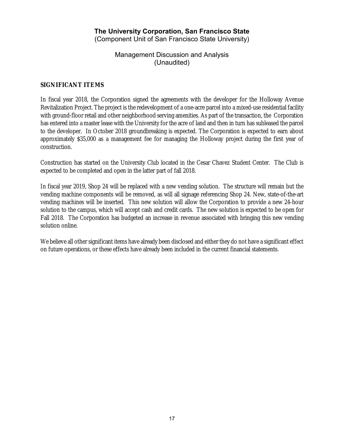Management Discussion and Analysis (Unaudited)

#### **SIGNIFICANT ITEMS**

In fiscal year 2018, the Corporation signed the agreements with the developer for the Holloway Avenue Revitalization Project. The project is the redevelopment of a one-acre parcel into a mixed-use residential facility with ground-floor retail and other neighborhood serving amenities. As part of the transaction, the Corporation has entered into a master lease with the University for the acre of land and then in turn has subleased the parcel to the developer. In October 2018 groundbreaking is expected. The Corporation is expected to earn about approximately \$35,000 as a management fee for managing the Holloway project during the first year of construction.

Construction has started on the University Club located in the Cesar Chavez Student Center. The Club is expected to be completed and open in the latter part of fall 2018.

In fiscal year 2019, Shop 24 will be replaced with a new vending solution. The structure will remain but the vending machine components will be removed, as will all signage referencing Shop 24. New, state-of-the-art vending machines will be inserted. This new solution will allow the Corporation to provide a new 24-hour solution to the campus, which will accept cash and credit cards. The new solution is expected to be open for Fall 2018. The Corporation has budgeted an increase in revenue associated with bringing this new vending solution online.

We believe all other significant items have already been disclosed and either they do not have a significant effect on future operations, or these effects have already been included in the current financial statements.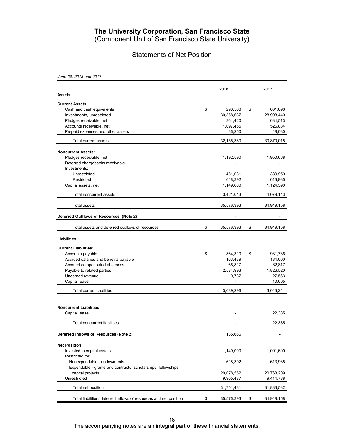(Component Unit of San Francisco State University)

## Statements of Net Position

*June 30, 2018 and 2017*

|                                                                   | 2018             | 2017             |
|-------------------------------------------------------------------|------------------|------------------|
| <b>Assets</b>                                                     |                  |                  |
| <b>Current Assets:</b>                                            |                  |                  |
| Cash and cash equivalents                                         | \$<br>298,568    | \$<br>661,098    |
| Investments, unrestricted                                         | 30,358,687       | 28,998,440       |
| Pledges receivable, net                                           | 364,420          | 634,513          |
| Accounts receivable, net                                          | 1,097,455        | 526,884          |
| Prepaid expenses and other assets                                 | 36,250           | 49,080           |
| Total current assets                                              | 32, 155, 380     | 30,870,015       |
| <b>Noncurrent Assets:</b>                                         |                  |                  |
| Pledges receivable, net                                           | 1,192,590        | 1,950,668        |
| Deferred chargebacks receivable                                   |                  |                  |
| Investments:                                                      |                  |                  |
| Unrestricted                                                      | 461,031          | 389,950          |
| Restricted                                                        | 618,392          | 613,935          |
| Capital assets, net                                               | 1,149,000        | 1,124,590        |
| Total noncurrent assets                                           | 3,421,013        | 4,079,143        |
| <b>Total assets</b>                                               | 35,576,393       | 34,949,158       |
| Deferred Outflows of Resources (Note 2)                           |                  |                  |
| Total assets and deferred outflows of resources                   | \$<br>35,576,393 | \$<br>34,949,158 |
| <b>Liabilities</b>                                                |                  |                  |
|                                                                   |                  |                  |
| <b>Current Liabilities:</b>                                       |                  |                  |
| Accounts payable                                                  | \$<br>864,310    | \$<br>931,736    |
| Accrued salaries and benefits payable                             | 163,439          | 184,000          |
| Accrued compensated absences                                      | 66,817           | 62,817           |
| Payable to related parties<br>Unearned revenue                    | 2,584,993        | 1,826,520        |
|                                                                   | 9,737            | 27,563           |
| Capital lease                                                     |                  | 10,605           |
| <b>Total current liabilities</b>                                  | 3,689,296        | 3,043,241        |
|                                                                   |                  |                  |
| <b>Noncurrent Liabilities:</b>                                    |                  |                  |
| Capital lease                                                     |                  | 22,385           |
| Total noncurrent liabilities                                      |                  | 22,385           |
| Deferred Inflows of Resources (Note 2)                            | 135,666          |                  |
| <b>Net Position:</b>                                              |                  |                  |
| Invested in capital assets                                        | 1,149,000        | 1,091,600        |
| Restricted for:                                                   |                  |                  |
| Nonexpendable - endowments                                        | 618,392          | 613,935          |
| Expendable - grants and contracts, scholarships, fellowships,     |                  |                  |
| capital projects                                                  | 20,078,552       | 20,763,209       |
| Unrestricted                                                      | 9,905,487        | 9,414,788        |
| Total net position                                                | 31,751,431       | 31,883,532       |
| Total liabilities, deferred inflows of resources and net position | \$<br>35,576,393 | \$<br>34,949,158 |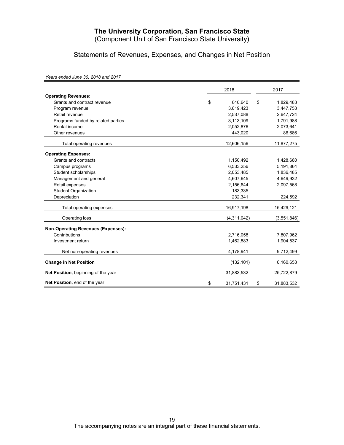(Component Unit of San Francisco State University)

Statements of Revenues, Expenses, and Changes in Net Position

*Years ended June 30, 2018 and 2017*

|                                           | 2018             |    |             |  |
|-------------------------------------------|------------------|----|-------------|--|
| <b>Operating Revenues:</b>                |                  |    |             |  |
| Grants and contract revenue               | \$<br>840,640    | \$ | 1,829,483   |  |
| Program revenue                           | 3,619,423        |    | 3,447,753   |  |
| Retail revenue                            | 2,537,088        |    | 2,647,724   |  |
| Programs funded by related parties        | 3,113,109        |    | 1,791,988   |  |
| Rental income                             | 2,052,876        |    | 2,073,641   |  |
| Other revenues                            | 443,020          |    | 86,686      |  |
| Total operating revenues                  | 12,606,156       |    | 11,877,275  |  |
| <b>Operating Expenses:</b>                |                  |    |             |  |
| Grants and contracts                      | 1,150,492        |    | 1,428,680   |  |
| Campus programs                           | 6,533,256        |    | 5,191,864   |  |
| Student scholarships                      | 2,053,485        |    | 1,836,485   |  |
| Management and general                    | 4,607,645        |    | 4,649,932   |  |
| Retail expenses                           | 2,156,644        |    | 2,097,568   |  |
| <b>Student Organization</b>               | 183,335          |    |             |  |
| Depreciation                              | 232,341          |    | 224,592     |  |
| Total operating expenses                  | 16,917,198       |    | 15,429,121  |  |
| Operating loss                            | (4,311,042)      |    | (3,551,846) |  |
| <b>Non-Operating Revenues (Expenses):</b> |                  |    |             |  |
| Contributions                             | 2,716,058        |    | 7,807,962   |  |
| Investment return                         | 1,462,883        |    | 1,904,537   |  |
| Net non-operating revenues                | 4,178,941        |    | 9,712,499   |  |
| <b>Change in Net Position</b>             | (132, 101)       |    | 6,160,653   |  |
| Net Position, beginning of the year       | 31,883,532       |    | 25,722,879  |  |
| Net Position, end of the year             | \$<br>31,751,431 | \$ | 31,883,532  |  |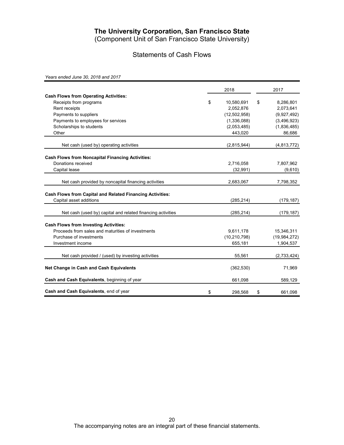(Component Unit of San Francisco State University)

## Statements of Cash Flows

*Years ended June 30, 2018 and 2017*

|                                                                  | 2018                   | 2017           |
|------------------------------------------------------------------|------------------------|----------------|
| <b>Cash Flows from Operating Activities:</b>                     |                        |                |
| Receipts from programs                                           | \$<br>10,580,691<br>\$ | 8,286,801      |
| Rent receipts                                                    | 2,052,876              | 2,073,641      |
| Payments to suppliers                                            | (12,502,958)           | (9,927,492)    |
| Payments to employees for services                               | (1,336,088)            | (3,496,923)    |
| Scholarships to students                                         | (2,053,485)            | (1,836,485)    |
| Other                                                            | 443,020                | 86,686         |
| Net cash (used by) operating activities                          | (2,815,944)            | (4, 813, 772)  |
| <b>Cash Flows from Noncapital Financing Activities:</b>          |                        |                |
| Donations received                                               | 2,716,058              | 7,807,962      |
| Capital lease                                                    | (32, 991)              | (9,610)        |
| Net cash provided by noncapital financing activities             | 2,683,067              | 7,798,352      |
| <b>Cash Flows from Capital and Related Financing Activities:</b> |                        |                |
| Capital asset additions                                          | (285, 214)             | (179, 187)     |
| Net cash (used by) capital and related financing activities      | (285, 214)             | (179, 187)     |
| <b>Cash Flows from Investing Activities:</b>                     |                        |                |
| Proceeds from sales and maturities of investments                | 9,611,178              | 15,346,311     |
| Purchase of investments                                          | (10, 210, 798)         | (19, 984, 272) |
| Investment income                                                | 655,181                | 1,904,537      |
| Net cash provided / (used) by investing activities               | 55,561                 | (2,733,424)    |
| Net Change in Cash and Cash Equivalents                          | (362, 530)             | 71,969         |
| Cash and Cash Equivalents, beginning of year                     | 661,098                | 589,129        |
| Cash and Cash Equivalents, end of year                           | \$<br>298,568<br>\$    | 661.098        |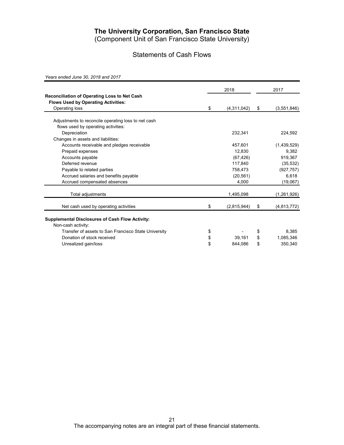(Component Unit of San Francisco State University)

## Statements of Cash Flows

*Years ended June 30, 2018 and 2017*

|                                                                                            | 2018              | 2017 |               |  |
|--------------------------------------------------------------------------------------------|-------------------|------|---------------|--|
| Reconciliation of Operating Loss to Net Cash<br><b>Flows Used by Operating Activities:</b> |                   |      |               |  |
| Operating loss                                                                             | \$<br>(4,311,042) | \$   | (3, 551, 846) |  |
| Adjustments to reconcile operating loss to net cash                                        |                   |      |               |  |
| flows used by operating activities:                                                        |                   |      |               |  |
| Depreciation                                                                               | 232,341           |      | 224,592       |  |
| Changes in assets and liabilities:                                                         |                   |      |               |  |
| Accounts receivable and pledges receivable                                                 | 457,601           |      | (1,439,529)   |  |
| Prepaid expenses                                                                           | 12.830            |      | 9.382         |  |
| Accounts payable                                                                           | (67, 426)         |      | 919.367       |  |
| Deferred revenue                                                                           | 117,840           |      | (35, 532)     |  |
| Payable to related parties                                                                 | 758,473           |      | (927, 757)    |  |
| Accrued salaries and benefits payable                                                      | (20, 561)         |      | 6,618         |  |
|                                                                                            | 4,000             |      |               |  |
| Accrued compensated absences                                                               |                   |      | (19,067)      |  |
| Total adjustments                                                                          | 1,495,098         |      | (1,261,926)   |  |
| Net cash used by operating activities                                                      | \$<br>(2,815,944) | \$   | (4, 813, 772) |  |
| <b>Supplemental Disclosures of Cash Flow Activity:</b><br>Non-cash activity:               |                   |      |               |  |
| Transfer of assets to San Francisco State University                                       | \$                | \$   | 8,385         |  |
| Donation of stock received                                                                 | \$<br>39,161      | \$   | 1,085,346     |  |
| Unrealized gain/loss                                                                       | \$<br>844,086     | \$   | 350,340       |  |
|                                                                                            |                   |      |               |  |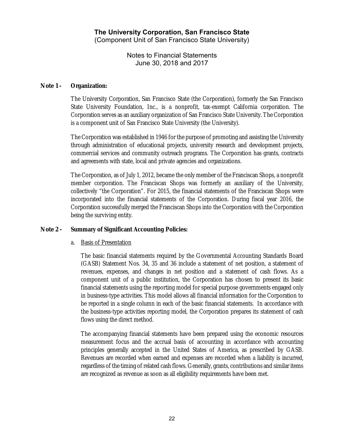Notes to Financial Statements June 30, 2018 and 2017

#### **Note 1 - Organization:**

The University Corporation, San Francisco State (the Corporation), formerly the San Francisco State University Foundation, Inc., is a nonprofit, tax-exempt California corporation. The Corporation serves as an auxiliary organization of San Francisco State University. The Corporation is a component unit of San Francisco State University (the University).

The Corporation was established in 1946 for the purpose of promoting and assisting the University through administration of educational projects, university research and development projects, commercial services and community outreach programs. The Corporation has grants, contracts and agreements with state, local and private agencies and organizations.

The Corporation, as of July 1, 2012, became the only member of the Franciscan Shops, a nonprofit member corporation. The Franciscan Shops was formerly an auxiliary of the University, collectively "the Corporation". For 2015, the financial statements of the Franciscan Shops were incorporated into the financial statements of the Corporation. During fiscal year 2016, the Corporation successfully merged the Franciscan Shops into the Corporation with the Corporation being the surviving entity.

#### **Note 2 - Summary of Significant Accounting Policies:**

#### a. Basis of Presentation

The basic financial statements required by the Governmental Accounting Standards Board (GASB) Statement Nos. 34, 35 and 36 include a statement of net position, a statement of revenues, expenses, and changes in net position and a statement of cash flows. As a component unit of a public institution, the Corporation has chosen to present its basic financial statements using the reporting model for special purpose governments engaged only in business-type activities. This model allows all financial information for the Corporation to be reported in a single column in each of the basic financial statements. In accordance with the business-type activities reporting model, the Corporation prepares its statement of cash flows using the direct method.

The accompanying financial statements have been prepared using the economic resources measurement focus and the accrual basis of accounting in accordance with accounting principles generally accepted in the United States of America, as prescribed by GASB. Revenues are recorded when earned and expenses are recorded when a liability is incurred, regardless of the timing of related cash flows. Generally, grants, contributions and similar items are recognized as revenue as soon as all eligibility requirements have been met.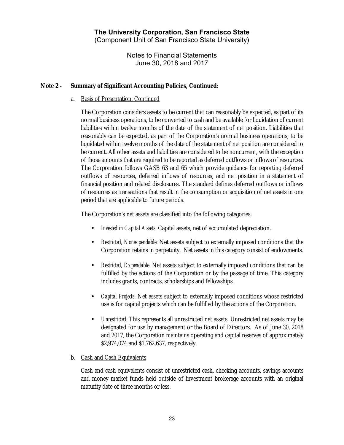Notes to Financial Statements June 30, 2018 and 2017

#### **Note 2 - Summary of Significant Accounting Policies, Continued:**

#### a. Basis of Presentation, Continued

The Corporation considers assets to be current that can reasonably be expected, as part of its normal business operations, to be converted to cash and be available for liquidation of current liabilities within twelve months of the date of the statement of net position. Liabilities that reasonably can be expected, as part of the Corporation's normal business operations, to be liquidated within twelve months of the date of the statement of net position are considered to be current. All other assets and liabilities are considered to be noncurrent, with the exception of those amounts that are required to be reported as deferred outflows or inflows of resources. The Corporation follows GASB 63 and 65 which provide guidance for reporting deferred outflows of resources, deferred inflows of resources, and net position in a statement of financial position and related disclosures. The standard defines deferred outflows or inflows of resources as transactions that result in the consumption or acquisition of net assets in one period that are applicable to future periods.

The Corporation's net assets are classified into the following categories:

- *Invested in Capital Assets*: Capital assets, net of accumulated depreciation.
- *Restricted, Nonexpendable*: Net assets subject to externally imposed conditions that the Corporation retains in perpetuity. Net assets in this category consist of endowments.
- *Restricted, Expendable*: Net assets subject to externally imposed conditions that can be fulfilled by the actions of the Corporation or by the passage of time. This category includes grants, contracts, scholarships and fellowships.
- *Capital Projects*: Net assets subject to externally imposed conditions whose restricted use is for capital projects which can be fulfilled by the actions of the Corporation.
- *Unrestricted*: This represents all unrestricted net assets. Unrestricted net assets may be designated for use by management or the Board of Directors. As of June 30, 2018 and 2017, the Corporation maintains operating and capital reserves of approximately \$2,974,074 and \$1,762,637, respectively.

#### b. Cash and Cash Equivalents

Cash and cash equivalents consist of unrestricted cash, checking accounts, savings accounts and money market funds held outside of investment brokerage accounts with an original maturity date of three months or less.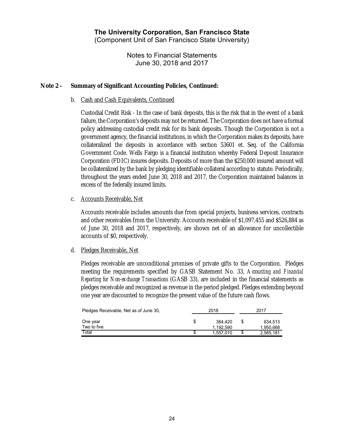Notes to Financial Statements June 30, 2018 and 2017

#### **Note 2 - Summary of Significant Accounting Policies, Continued:**

#### b. Cash and Cash Equivalents, Continued

Custodial Credit Risk - In the case of bank deposits, this is the risk that in the event of a bank failure, the Corporation's deposits may not be returned. The Corporation does not have a formal policy addressing custodial credit risk for its bank deposits. Though the Corporation is not a government agency, the financial institutions, in which the Corporation makes its deposits, have collateralized the deposits in accordance with section 53601 et. Seq. of the California Government Code. Wells Fargo is a financial institution whereby Federal Deposit Insurance Corporation (FDIC) insures deposits. Deposits of more than the \$250,000 insured amount will be collateralized by the bank by pledging identifiable collateral according to statute. Periodically, throughout the years ended June 30, 2018 and 2017, the Corporation maintained balances in excess of the federally insured limits.

#### c. Accounts Receivable, Net

Accounts receivable includes amounts due from special projects, business services, contracts and other receivables from the University. Accounts receivable of \$1,097,455 and \$526,884 as of June 30, 2018 and 2017, respectively, are shown net of an allowance for uncollectible accounts of \$0, respectively.

#### d. Pledges Receivable, Net

Pledges receivable are unconditional promises of private gifts to the Corporation. Pledges meeting the requirements specified by GASB Statement No. 33, *Accounting and Financial Reporting for Non-exchange Transactions* (GASB 33), are included in the financial statements as pledges receivable and recognized as revenue in the period pledged. Pledges extending beyond one year are discounted to recognize the present value of the future cash flows.

| Pledges Receivable, Net as of June 30, |   | 2018      |    | 2017      |  |  |  |
|----------------------------------------|---|-----------|----|-----------|--|--|--|
| One year                               | S | 364.420   | \$ | 634.513   |  |  |  |
| Two to five                            |   | 1.192.590 |    | 1,950,668 |  |  |  |
| Total                                  |   | 1.557.010 | S  | 2,585,181 |  |  |  |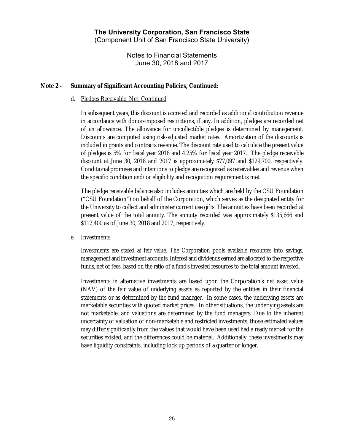Notes to Financial Statements June 30, 2018 and 2017

#### **Note 2 - Summary of Significant Accounting Policies, Continued:**

#### d. Pledges Receivable, Net, Continued

In subsequent years, this discount is accreted and recorded as additional contribution revenue in accordance with donor-imposed restrictions, if any. In addition, pledges are recorded net of an allowance. The allowance for uncollectible pledges is determined by management. Discounts are computed using risk-adjusted market rates. Amortization of the discounts is included in grants and contracts revenue. The discount rate used to calculate the present value of pledges is 5% for fiscal year 2018 and 4.25% for fiscal year 2017. The pledge receivable discount at June 30, 2018 and 2017 is approximately \$77,097 and \$129,700, respectively. Conditional promises and intentions to pledge are recognized as receivables and revenue when the specific condition and/or eligibility and recognition requirement is met.

The pledge receivable balance also includes annuities which are held by the CSU Foundation ("CSU Foundation") on behalf of the Corporation, which serves as the designated entity for the University to collect and administer current use gifts. The annuities have been recorded at present value of the total annuity. The annuity recorded was approximately \$135,666 and \$112,400 as of June 30, 2018 and 2017, respectively.

#### e. Investments

Investments are stated at fair value. The Corporation pools available resources into savings, management and investment accounts.Interest and dividends earned are allocated to the respective funds, net of fees, based on the ratio of a fund's invested resources to the total amount invested.

Investments in alternative investments are based upon the Corporation's net asset value (NAV) of the fair value of underlying assets as reported by the entities in their financial statements or as determined by the fund manager. In some cases, the underlying assets are marketable securities with quoted market prices. In other situations, the underlying assets are not marketable, and valuations are determined by the fund managers. Due to the inherent uncertainty of valuation of non-marketable and restricted investments, those estimated values may differ significantly from the values that would have been used had a ready market for the securities existed, and the differences could be material. Additionally, these investments may have liquidity constraints, including lock up periods of a quarter or longer.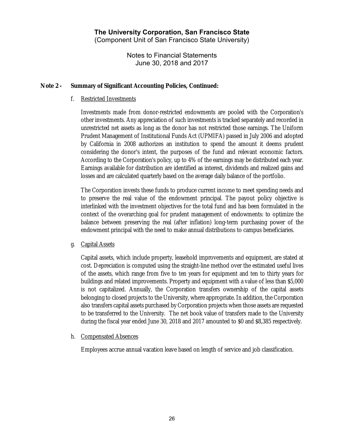Notes to Financial Statements June 30, 2018 and 2017

#### **Note 2 - Summary of Significant Accounting Policies, Continued:**

#### f. Restricted Investments

Investments made from donor-restricted endowments are pooled with the Corporation's other investments. Any appreciation of such investments is tracked separately and recorded in unrestricted net assets as long as the donor has not restricted those earnings. The Uniform Prudent Management of Institutional Funds Act (UPMIFA) passed in July 2006 and adopted by California in 2008 authorizes an institution to spend the amount it deems prudent considering the donor's intent, the purposes of the fund and relevant economic factors. According to the Corporation's policy, up to 4% of the earnings may be distributed each year. Earnings available for distribution are identified as interest, dividends and realized gains and losses and are calculated quarterly based on the average daily balance of the portfolio.

The Corporation invests these funds to produce current income to meet spending needs and to preserve the real value of the endowment principal. The payout policy objective is interlinked with the investment objectives for the total fund and has been formulated in the context of the overarching goal for prudent management of endowments: to optimize the balance between preserving the real (after inflation) long-term purchasing power of the endowment principal with the need to make annual distributions to campus beneficiaries.

#### g. Capital Assets

Capital assets, which include property, leasehold improvements and equipment, are stated at cost. Depreciation is computed using the straight-line method over the estimated useful lives of the assets, which range from five to ten years for equipment and ten to thirty years for buildings and related improvements. Property and equipment with a value of less than \$5,000 is not capitalized. Annually, the Corporation transfers ownership of the capital assets belonging to closed projects to the University, where appropriate. In addition, the Corporation also transfers capital assets purchased by Corporation projects when those assets are requested to be transferred to the University. The net book value of transfers made to the University during the fiscal year ended June 30, 2018 and 2017 amounted to \$0 and \$8,385 respectively.

#### h. Compensated Absences

Employees accrue annual vacation leave based on length of service and job classification.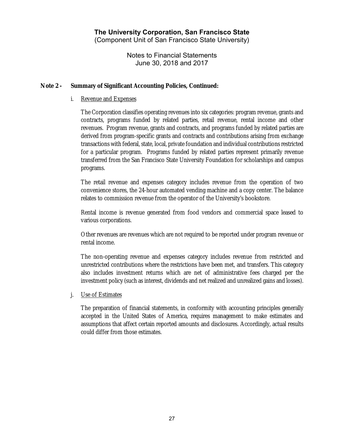Notes to Financial Statements June 30, 2018 and 2017

#### **Note 2 - Summary of Significant Accounting Policies, Continued:**

#### i. Revenue and Expenses

The Corporation classifies operating revenues into six categories: program revenue, grants and contracts, programs funded by related parties, retail revenue, rental income and other revenues. Program revenue, grants and contracts, and programs funded by related parties are derived from program-specific grants and contracts and contributions arising from exchange transactions with federal, state, local, private foundation and individual contributions restricted for a particular program. Programs funded by related parties represent primarily revenue transferred from the San Francisco State University Foundation for scholarships and campus programs.

The retail revenue and expenses category includes revenue from the operation of two convenience stores, the 24-hour automated vending machine and a copy center. The balance relates to commission revenue from the operator of the University's bookstore.

Rental income is revenue generated from food vendors and commercial space leased to various corporations.

Other revenues are revenues which are not required to be reported under program revenue or rental income.

The non-operating revenue and expenses category includes revenue from restricted and unrestricted contributions where the restrictions have been met, and transfers. This category also includes investment returns which are net of administrative fees charged per the investment policy (such as interest, dividends and net realized and unrealized gains and losses).

#### j. Use of Estimates

The preparation of financial statements, in conformity with accounting principles generally accepted in the United States of America, requires management to make estimates and assumptions that affect certain reported amounts and disclosures. Accordingly, actual results could differ from those estimates.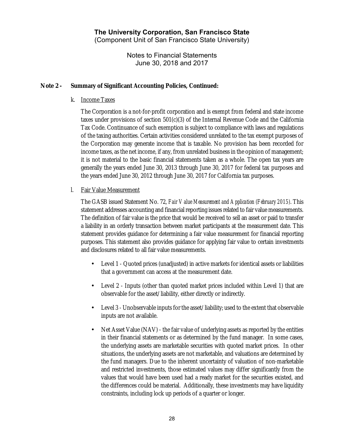Notes to Financial Statements June 30, 2018 and 2017

#### **Note 2 - Summary of Significant Accounting Policies, Continued:**

k. Income Taxes

The Corporation is a not-for-profit corporation and is exempt from federal and state income taxes under provisions of section  $501(c)(3)$  of the Internal Revenue Code and the California Tax Code. Continuance of such exemption is subject to compliance with laws and regulations of the taxing authorities. Certain activities considered unrelated to the tax exempt purposes of the Corporation may generate income that is taxable. No provision has been recorded for income taxes, as the net income, if any, from unrelated business in the opinion of management; it is not material to the basic financial statements taken as a whole. The open tax years are generally the years ended June 30, 2013 through June 30, 2017 for federal tax purposes and the years ended June 30, 2012 through June 30, 2017 for California tax purposes.

l. Fair Value Measurement

The GASB issued Statement No. 72, *Fair Value Measurement and Application (February 2015)*. This statement addresses accounting and financial reporting issues related to fair value measurements. The definition of fair value is the price that would be received to sell an asset or paid to transfer a liability in an orderly transaction between market participants at the measurement date. This statement provides guidance for determining a fair value measurement for financial reporting purposes. This statement also provides guidance for applying fair value to certain investments and disclosures related to all fair value measurements.

- Level 1 Quoted prices (unadjusted) in active markets for identical assets or liabilities that a government can access at the measurement date.
- Level 2 Inputs (other than quoted market prices included within Level 1) that are observable for the asset/liability, either directly or indirectly.
- Level 3 Unobservable inputs for the asset/liability; used to the extent that observable inputs are not available.
- Net Asset Value (NAV) the fair value of underlying assets as reported by the entities in their financial statements or as determined by the fund manager. In some cases, the underlying assets are marketable securities with quoted market prices. In other situations, the underlying assets are not marketable, and valuations are determined by the fund managers. Due to the inherent uncertainty of valuation of non-marketable and restricted investments, those estimated values may differ significantly from the values that would have been used had a ready market for the securities existed, and the differences could be material. Additionally, these investments may have liquidity constraints, including lock up periods of a quarter or longer.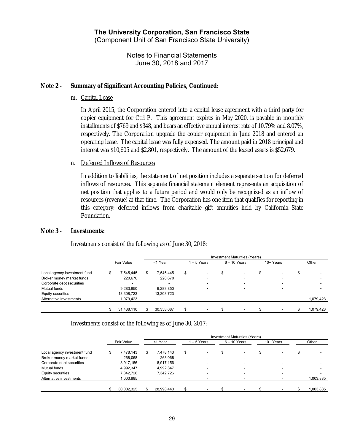Notes to Financial Statements June 30, 2018 and 2017

#### **Note 2 - Summary of Significant Accounting Policies, Continued:**

m. Capital Lease

In April 2015, the Corporation entered into a capital lease agreement with a third party for copier equipment for Ctrl P. This agreement expires in May 2020, is payable in monthly installments of \$769 and \$348, and bears an effective annual interest rate of 10.79% and 8.07%, respectively. The Corporation upgrade the copier equipment in June 2018 and entered an operating lease. The capital lease was fully expensed. The amount paid in 2018 principal and interest was \$10,605 and \$2,801, respectively. The amount of the leased assets is \$52,679.

#### n. Deferred Inflows of Resources

In addition to liabilities, the statement of net position includes a separate section for deferred inflows of resources. This separate financial statement element represents an acquisition of net position that applies to a future period and would only be recognized as an inflow of resources (revenue) at that time. The Corporation has one item that qualifies for reporting in this category: deferred inflows from charitable gift annuities held by California State Foundation.

#### **Note 3 - Investments:**

Investments consist of the following as of June 30, 2018:

|                              | Investment Maturities (Years) |   |            |    |                          |  |                          |  |           |  |           |  |
|------------------------------|-------------------------------|---|------------|----|--------------------------|--|--------------------------|--|-----------|--|-----------|--|
| Local agency investment fund | Fair Value                    |   | <1 Year    |    | 1 – 5 Years              |  | $6 - 10$ Years           |  | 10+ Years |  | Other     |  |
|                              | \$<br>7.545.445               | S | 7.545.445  | \$ |                          |  |                          |  |           |  |           |  |
| Broker money market funds    | 220.670                       |   | 220,670    |    | -                        |  |                          |  |           |  |           |  |
| Corporate debt securities    |                               |   |            |    |                          |  |                          |  |           |  |           |  |
| Mutual funds                 | 9,283,850                     |   | 9,283,850  |    | $\overline{\phantom{a}}$ |  | $\overline{\phantom{a}}$ |  |           |  |           |  |
| Equity securities            | 13,308,723                    |   | 13,308,723 |    |                          |  | $\overline{\phantom{0}}$ |  |           |  |           |  |
| Alternative investments      | 1,079,423                     |   |            |    |                          |  |                          |  |           |  | 1,079,423 |  |
|                              | 31,438,110                    |   | 30,358,687 |    |                          |  |                          |  |           |  | 1,079,423 |  |

Investments consist of the following as of June 30, 2017:

|                              |            |            |    |                |  | Investment Maturities (Years) |  |           |  |           |  |
|------------------------------|------------|------------|----|----------------|--|-------------------------------|--|-----------|--|-----------|--|
|                              | Fair Value | <1 Year    |    | $-5$ Years     |  | $6 - 10$ Years                |  | 10+ Years |  | Other     |  |
| Local agency investment fund | 7.478.143  | 7.478.143  | \$ |                |  |                               |  |           |  |           |  |
| Broker money market funds    | 268.068    | 268.068    |    | $\blacksquare$ |  | -                             |  |           |  |           |  |
| Corporate debt securities    | 8,917,156  | 8.917.156  |    | -              |  |                               |  |           |  |           |  |
| Mutual funds                 | 4.992.347  | 4.992.347  |    | ۰              |  |                               |  |           |  |           |  |
| Equity securities            | 7.342.726  | 7.342.726  |    | -              |  |                               |  |           |  |           |  |
| Alternative investments      | 1,003,885  |            |    |                |  |                               |  |           |  | 1,003,885 |  |
|                              | 30,002,325 | 28,998,440 |    |                |  |                               |  |           |  | 1.003.885 |  |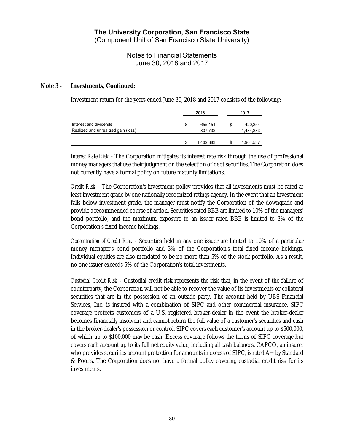(Component Unit of San Francisco State University)

Notes to Financial Statements June 30, 2018 and 2017

#### **Note 3 - Investments, Continued:**

Investment return for the years ended June 30, 2018 and 2017 consists of the following:

|                                     |   |           | 2017 |           |  |  |
|-------------------------------------|---|-----------|------|-----------|--|--|
| Interest and dividends              | S | 655.151   | S    | 420,254   |  |  |
| Realized and unrealized gain (loss) |   | 807.732   |      | 1,484,283 |  |  |
|                                     | S | 1,462,883 | S    | 1,904,537 |  |  |

*Interest Rate Risk* - The Corporation mitigates its interest rate risk through the use of professional money managers that use their judgment on the selection of debt securities. The Corporation does not currently have a formal policy on future maturity limitations.

*Credit Risk* - The Corporation's investment policy provides that all investments must be rated at least investment grade by one nationally recognized ratings agency. In the event that an investment falls below investment grade, the manager must notify the Corporation of the downgrade and provide a recommended course of action. Securities rated BBB are limited to 10% of the managers' bond portfolio, and the maximum exposure to an issuer rated BBB is limited to 3% of the Corporation's fixed income holdings.

*Concentration of Credit Risk* - Securities held in any one issuer are limited to 10% of a particular money manager's bond portfolio and 3% of the Corporation's total fixed income holdings. Individual equities are also mandated to be no more than 5% of the stock portfolio. As a result, no one issuer exceeds 5% of the Corporation's total investments.

*Custodial Credit Risk* - Custodial credit risk represents the risk that, in the event of the failure of counterparty, the Corporation will not be able to recover the value of its investments or collateral securities that are in the possession of an outside party. The account held by UBS Financial Services, Inc. is insured with a combination of SIPC and other commercial insurance. SIPC coverage protects customers of a U.S. registered broker-dealer in the event the broker-dealer becomes financially insolvent and cannot return the full value of a customer's securities and cash in the broker-dealer's possession or control. SIPC covers each customer's account up to \$500,000, of which up to \$100,000 may be cash. Excess coverage follows the terms of SIPC coverage but covers each account up to its full net equity value, including all cash balances. CAPCO, an insurer who provides securities account protection for amounts in excess of SIPC, is rated A+ by Standard & Poor's. The Corporation does not have a formal policy covering custodial credit risk for its investments.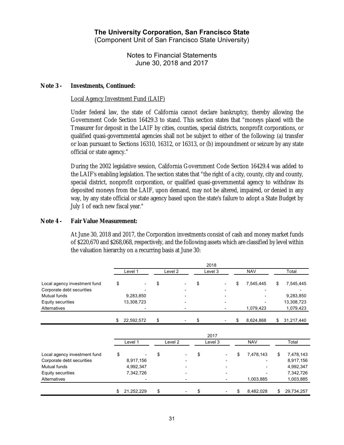Notes to Financial Statements June 30, 2018 and 2017

#### **Note 3 - Investments, Continued:**

#### Local Agency Investment Fund (LAIF)

Under federal law, the state of California cannot declare bankruptcy, thereby allowing the Government Code Section 16429.3 to stand. This section states that "moneys placed with the Treasurer for deposit in the LAIF by cities, counties, special districts, nonprofit corporations, or qualified quasi-governmental agencies shall not be subject to either of the following: (a) transfer or loan pursuant to Sections 16310, 16312, or 16313, or (b) impoundment or seizure by any state official or state agency."

During the 2002 legislative session, California Government Code Section 16429.4 was added to the LAIF's enabling legislation. The section states that "the right of a city, county, city and county, special district, nonprofit corporation, or qualified quasi-governmental agency to withdraw its deposited moneys from the LAIF, upon demand, may not be altered, impaired, or denied in any way, by any state official or state agency based upon the state's failure to adopt a State Budget by July 1 of each new fiscal year."

#### **Note 4 - Fair Value Measurement:**

At June 30, 2018 and 2017, the Corporation investments consist of cash and money market funds of \$220,670 and \$268,068, respectively, and the following assets which are classified by level within the valuation hierarchy on a recurring basis at June 30:

|                                           |                         |                    | 2018    |                 |                         |
|-------------------------------------------|-------------------------|--------------------|---------|-----------------|-------------------------|
|                                           | Level 1                 | Level <sub>2</sub> | Level 3 | <b>NAV</b>      | Total                   |
| Local agency investment fund              | \$                      | \$                 | \$      | \$<br>7,545,445 | \$<br>7,545,445         |
| Corporate debt securities<br>Mutual funds |                         |                    |         |                 |                         |
| Equity securities                         | 9,283,850<br>13,308,723 |                    |         |                 | 9,283,850<br>13,308,723 |
| Alternatives                              |                         |                    |         | 1,079,423       | 1,079,423               |
|                                           | \$<br>22,592,572        | \$                 | \$      | \$<br>8,624,868 | \$<br>31,217,440        |
|                                           |                         |                    | 2017    |                 |                         |
|                                           | Level 1                 | Level <sub>2</sub> | Level 3 | <b>NAV</b>      | Total                   |
| Local agency investment fund              | \$                      | \$                 | \$      | \$<br>7,478,143 | \$<br>7,478,143         |
| Corporate debt securities                 | 8,917,156               |                    |         |                 | 8,917,156               |
| Mutual funds                              | 4,992,347               |                    |         |                 | 4,992,347               |
| Equity securities                         | 7,342,726               |                    |         |                 | 7,342,726               |
| Alternatives                              |                         |                    |         | 1,003,885       | 1,003,885               |
|                                           | \$<br>21,252,229        | \$                 | \$      | \$<br>8,482,028 | \$<br>29,734,257        |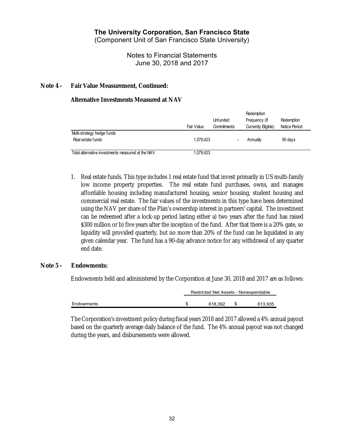(Component Unit of San Francisco State University)

Notes to Financial Statements June 30, 2018 and 2017

#### **Note 4 - Fair Value Measurement, Continued:**

#### **Alternative Investments Measured at NAV**

|                                                   | Fair Value | Unfunded<br>Commitments | Redemption<br>Frequency (If<br>Currently Eligible) | Redemption<br>Notice Period |
|---------------------------------------------------|------------|-------------------------|----------------------------------------------------|-----------------------------|
| Multi-strategy hedge funds<br>Real estate funds   | 1.079.423  |                         | Annually                                           | 90 days                     |
| Total alternative investments measured at the NAV | 1,079,423  |                         |                                                    |                             |

1. Real estate funds. This type includes 1 real estate fund that invest primarily in US multi-family low income property properties. The real estate fund purchases, owns, and manages affordable housing including manufactured housing, senior housing, student housing and commercial real estate. The fair values of the investments in this type have been determined using the NAV per share of the Plan's ownership interest in partners' capital. The investment can be redeemed after a lock-up period lasting either a) two years after the fund has raised \$300 million or b) five years after the inception of the fund. After that there is a 20% gate, so liquidity will provided quarterly, but no more than 20% of the fund can be liquidated in any given calendar year. The fund has a 90-day advance notice for any withdrawal of any quarter end date.

#### **Note 5 - Endowments:**

Endowments held and administered by the Corporation at June 30, 2018 and 2017 are as follows:

|            | Restricted Net Assets - Nonexpendable |  |         |  |  |  |  |
|------------|---------------------------------------|--|---------|--|--|--|--|
|            |                                       |  |         |  |  |  |  |
| Endowments | 618.392                               |  | 613.935 |  |  |  |  |

The Corporation's investment policy during fiscal years 2018 and 2017 allowed a 4% annual payout based on the quarterly average daily balance of the fund. The 4% annual payout was not changed during the years, and disbursements were allowed.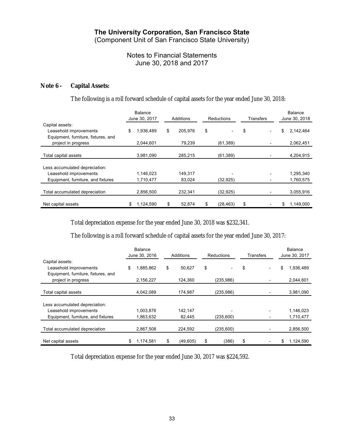(Component Unit of San Francisco State University)

## Notes to Financial Statements June 30, 2018 and 2017

#### **Note 6 - Capital Assets:**

#### The following is a roll forward schedule of capital assets for the year ended June 30, 2018:

|                                                                                  |    | <b>Balance</b><br>June 30, 2017 | Additions     | Reductions      | Transfers | Balance<br>June 30, 2018 |
|----------------------------------------------------------------------------------|----|---------------------------------|---------------|-----------------|-----------|--------------------------|
| Capital assets:<br>Leasehold improvements<br>Equipment, furniture, fixtures, and | \$ | 1,936,489                       | \$<br>205,976 | \$              | \$        | \$<br>2,142,464          |
| project in progress                                                              |    | 2.044,601                       | 79,239        | (61, 389)       |           | 2,062,451                |
| Total capital assets                                                             |    | 3,981,090                       | 285,215       | (61, 389)       |           | 4,204,915                |
| Less accumulated depreciation:                                                   |    |                                 |               |                 |           |                          |
| Leasehold improvements                                                           |    | 1.146.023                       | 149.317       |                 |           | 1,295,340                |
| Equipment, furniture, and fixtures                                               |    | 1,710,477                       | 83,024        | (32, 925)       |           | 1,760,575                |
| Total accumulated depreciation                                                   |    | 2,856,500                       | 232.341       | (32, 925)       |           | 3,055,916                |
| Net capital assets                                                               | S  | 1.124.590                       | \$<br>52.874  | \$<br>(28, 463) | \$        | \$<br>1.149.000          |

Total depreciation expense for the year ended June 30, 2018 was \$232,341.

The following is a roll forward schedule of capital assets for the year ended June 30, 2017:

|                                                                                  | <b>Balance</b><br>June 30, 2016 |           | Additions      |    | Reductions               |    | Transfers |    | <b>Balance</b><br>June 30, 2017 |  |
|----------------------------------------------------------------------------------|---------------------------------|-----------|----------------|----|--------------------------|----|-----------|----|---------------------------------|--|
| Capital assets:<br>Leasehold improvements<br>Equipment, furniture, fixtures, and | \$                              | 1,885,862 | \$<br>50,627   | \$ | $\overline{\phantom{0}}$ | \$ |           | \$ | 1,936,489                       |  |
| project in progress                                                              |                                 | 2,156,227 | 124.360        |    | (235, 986)               |    |           |    | 2,044,601                       |  |
| Total capital assets                                                             |                                 | 4,042,089 | 174,987        |    | (235,986)                |    |           |    | 3,981,090                       |  |
| Less accumulated depreciation:                                                   |                                 |           |                |    |                          |    |           |    |                                 |  |
| Leasehold improvements                                                           |                                 | 1,003,876 | 142,147        |    |                          |    |           |    | 1,146,023                       |  |
| Equipment, furniture, and fixtures                                               |                                 | 1,863,632 | 82,445         |    | (235, 600)               |    |           |    | 1,710,477                       |  |
| Total accumulated depreciation                                                   |                                 | 2,867,508 | 224,592        |    | (235,600)                |    |           |    | 2,856,500                       |  |
| Net capital assets                                                               | \$                              | 1,174,581 | \$<br>(49,605) | \$ | (386)                    | \$ |           | \$ | 1,124,590                       |  |

Total depreciation expense for the year ended June 30, 2017 was \$224,592.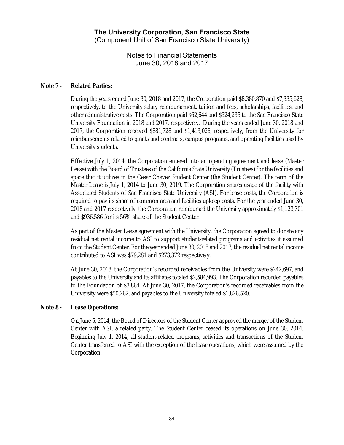Notes to Financial Statements June 30, 2018 and 2017

#### **Note 7 - Related Parties:**

During the years ended June 30, 2018 and 2017, the Corporation paid \$8,380,870 and \$7,335,628, respectively, to the University salary reimbursement, tuition and fees, scholarships, facilities, and other administrative costs. The Corporation paid \$62,644 and \$324,235 to the San Francisco State University Foundation in 2018 and 2017, respectively. During the years ended June 30, 2018 and 2017, the Corporation received \$881,728 and \$1,413,026, respectively, from the University for reimbursements related to grants and contracts, campus programs, and operating facilities used by University students.

Effective July 1, 2014, the Corporation entered into an operating agreement and lease (Master Lease) with the Board of Trustees of the California State University (Trustees) for the facilities and space that it utilizes in the Cesar Chavez Student Center (the Student Center). The term of the Master Lease is July 1, 2014 to June 30, 2019. The Corporation shares usage of the facility with Associated Students of San Francisco State University (ASI). For lease costs, the Corporation is required to pay its share of common area and facilities upkeep costs. For the year ended June 30, 2018 and 2017 respectively, the Corporation reimbursed the University approximately \$1,123,301 and \$936,586 for its 56% share of the Student Center.

As part of the Master Lease agreement with the University, the Corporation agreed to donate any residual net rental income to ASI to support student-related programs and activities it assumed from the Student Center. For the year ended June 30, 2018 and 2017, the residual net rental income contributed to ASI was \$79,281 and \$273,372 respectively.

At June 30, 2018, the Corporation's recorded receivables from the University were \$242,697, and payables to the University and its affiliates totaled \$2,584,993. The Corporation recorded payables to the Foundation of \$3,864. At June 30, 2017, the Corporation's recorded receivables from the University were \$50,262, and payables to the University totaled \$1,826,520.

#### **Note 8 - Lease Operations:**

On June 5, 2014, the Board of Directors of the Student Center approved the merger of the Student Center with ASI, a related party. The Student Center ceased its operations on June 30, 2014. Beginning July 1, 2014, all student-related programs, activities and transactions of the Student Center transferred to ASI with the exception of the lease operations, which were assumed by the Corporation.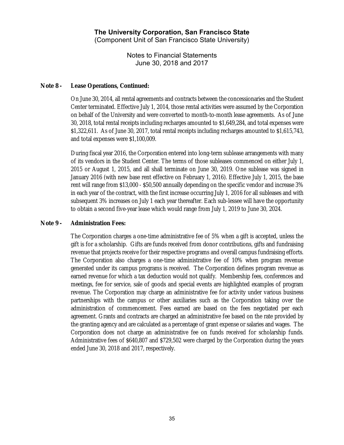Notes to Financial Statements June 30, 2018 and 2017

#### **Note 8 - Lease Operations, Continued:**

On June 30, 2014, all rental agreements and contracts between the concessionaries and the Student Center terminated. Effective July 1, 2014, those rental activities were assumed by the Corporation on behalf of the University and were converted to month-to-month lease agreements. As of June 30, 2018, total rental receipts including recharges amounted to \$1,649,284, and total expenses were \$1,322,611. As of June 30, 2017, total rental receipts including recharges amounted to \$1,615,743, and total expenses were \$1,100,009.

During fiscal year 2016, the Corporation entered into long-term sublease arrangements with many of its vendors in the Student Center. The terms of those subleases commenced on either July 1, 2015 or August 1, 2015, and all shall terminate on June 30, 2019. One sublease was signed in January 2016 (with new base rent effective on February 1, 2016). Effective July 1, 2015, the base rent will range from \$13,000 - \$50,500 annually depending on the specific vendor and increase 3% in each year of the contract, with the first increase occurring July 1, 2016 for all subleases and with subsequent 3% increases on July 1 each year thereafter. Each sub-lessee will have the opportunity to obtain a second five-year lease which would range from July 1, 2019 to June 30, 2024.

#### **Note 9 - Administration Fees:**

The Corporation charges a one-time administrative fee of 5% when a gift is accepted, unless the gift is for a scholarship. Gifts are funds received from donor contributions, gifts and fundraising revenue that projects receive for their respective programs and overall campus fundraising efforts. The Corporation also charges a one-time administrative fee of 10% when program revenue generated under its campus programs is received. The Corporation defines program revenue as earned revenue for which a tax deduction would not qualify. Membership fees, conferences and meetings, fee for service, sale of goods and special events are highlighted examples of program revenue. The Corporation may charge an administrative fee for activity under various business partnerships with the campus or other auxiliaries such as the Corporation taking over the administration of commencement. Fees earned are based on the fees negotiated per each agreement. Grants and contracts are charged an administrative fee based on the rate provided by the granting agency and are calculated as a percentage of grant expense or salaries and wages. The Corporation does not charge an administrative fee on funds received for scholarship funds. Administrative fees of \$640,807 and \$729,502 were charged by the Corporation during the years ended June 30, 2018 and 2017, respectively.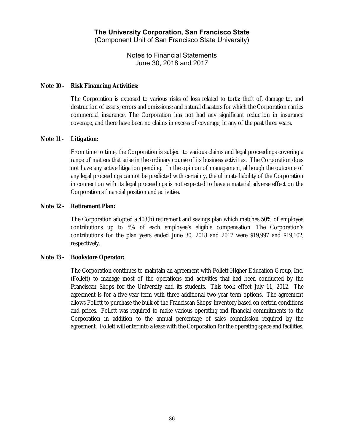Notes to Financial Statements June 30, 2018 and 2017

#### **Note 10 - Risk Financing Activities:**

The Corporation is exposed to various risks of loss related to torts: theft of, damage to, and destruction of assets; errors and omissions; and natural disasters for which the Corporation carries commercial insurance. The Corporation has not had any significant reduction in insurance coverage, and there have been no claims in excess of coverage, in any of the past three years.

#### **Note 11 - Litigation:**

From time to time, the Corporation is subject to various claims and legal proceedings covering a range of matters that arise in the ordinary course of its business activities. The Corporation does not have any active litigation pending. In the opinion of management, although the outcome of any legal proceedings cannot be predicted with certainty, the ultimate liability of the Corporation in connection with its legal proceedings is not expected to have a material adverse effect on the Corporation's financial position and activities.

#### **Note 12 - Retirement Plan:**

The Corporation adopted a 403(b) retirement and savings plan which matches 50% of employee contributions up to 5% of each employee's eligible compensation. The Corporation's contributions for the plan years ended June 30, 2018 and 2017 were \$19,997 and \$19,102, respectively.

#### **Note 13 - Bookstore Operator:**

The Corporation continues to maintain an agreement with Follett Higher Education Group, Inc. (Follett) to manage most of the operations and activities that had been conducted by the Franciscan Shops for the University and its students. This took effect July 11, 2012. The agreement is for a five-year term with three additional two-year term options. The agreement allows Follett to purchase the bulk of the Franciscan Shops' inventory based on certain conditions and prices. Follett was required to make various operating and financial commitments to the Corporation in addition to the annual percentage of sales commission required by the agreement. Follett will enter into a lease with the Corporation for the operating space and facilities.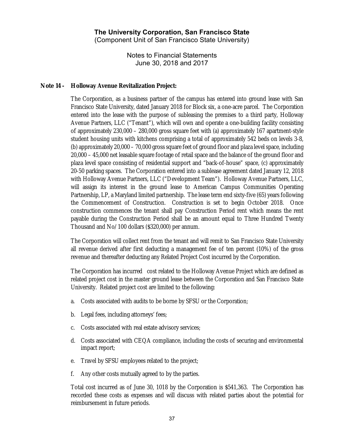Notes to Financial Statements June 30, 2018 and 2017

#### **Note 14 - Holloway Avenue Revitalization Project:**

The Corporation, as a business partner of the campus has entered into ground lease with San Francisco State University, dated January 2018 for Block six, a one-acre parcel. The Corporation entered into the lease with the purpose of subleasing the premises to a third party, Holloway Avenue Partners, LLC ("Tenant"), which will own and operate a one-building facility consisting of approximately 230,000 – 280,000 gross square feet with (a) approximately 167 apartment-style student housing units with kitchens comprising a total of approximately 542 beds on levels 3-8, (b) approximately 20,000 – 70,000 gross square feet of ground floor and plaza level space, including 20,000 – 45,000 net leasable square footage of retail space and the balance of the ground floor and plaza level space consisting of residential support and "back-of-house" space, (c) approximately 20-50 parking spaces. The Corporation entered into a sublease agreement dated January 12, 2018 with Holloway Avenue Partners, LLC ("Development Team"). Holloway Avenue Partners, LLC, will assign its interest in the ground lease to American Campus Communities Operating Partnership, LP, a Maryland limited partnership. The lease term end sixty-five (65) years following the Commencement of Construction. Construction is set to begin October 2018. Once construction commences the tenant shall pay Construction Period rent which means the rent payable during the Construction Period shall be an amount equal to Three Hundred Twenty Thousand and No/100 dollars (\$320,000) per annum.

The Corporation will collect rent from the tenant and will remit to San Francisco State University all revenue derived after first deducting a management fee of ten percent (10%) of the gross revenue and thereafter deducting any Related Project Cost incurred by the Corporation.

The Corporation has incurred cost related to the Holloway Avenue Project which are defined as related project cost in the master ground lease between the Corporation and San Francisco State University. Related project cost are limited to the following:

- a. Costs associated with audits to be borne by SFSU or the Corporation;
- b. Legal fees, including attorneys' fees;
- c. Costs associated with real estate advisory services;
- d. Costs associated with CEQA compliance, including the costs of securing and environmental impact report;
- e. Travel by SFSU employees related to the project;
- f. Any other costs mutually agreed to by the parties.

Total cost incurred as of June 30, 1018 by the Corporation is \$541,363. The Corporation has recorded these costs as expenses and will discuss with related parties about the potential for reimbursement in future periods.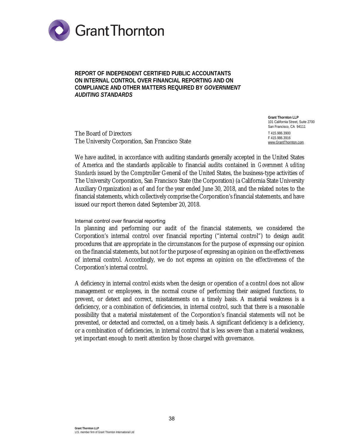

**REPORT OF INDEPENDENT CERTIFIED PUBLIC ACCOUNTANTS ON INTERNAL CONTROL OVER FINANCIAL REPORTING AND ON COMPLIANCE AND OTHER MATTERS REQUIRED BY** *GOVERNMENT AUDITING STANDARDS*

The Board of Directors The University Corporation, San Francisco State

**Grant Thornton LLP**  101 California Street, Suite 2700 San Francisco, CA 94111 T 415.986.3900 F 415.986.3916 [www.GrantThornton.com](http://www.GrantThornton.com)

We have audited, in accordance with auditing standards generally accepted in the United States of America and the standards applicable to financial audits contained in *Government Auditing Standards* issued by the Comptroller General of the United States, the business-type activities of The University Corporation, San Francisco State (the Corporation) (a California State University Auxiliary Organization) as of and for the year ended June 30, 2018, and the related notes to the financial statements, which collectively comprise the Corporation's financial statements, and have issued our report thereon dated September 20, 2018.

#### Internal control over financial reporting

In planning and performing our audit of the financial statements, we considered the Corporation's internal control over financial reporting ("internal control") to design audit procedures that are appropriate in the circumstances for the purpose of expressing our opinion on the financial statements, but not for the purpose of expressing an opinion on the effectiveness of internal control. Accordingly, we do not express an opinion on the effectiveness of the Corporation's internal control.

A deficiency in internal control exists when the design or operation of a control does not allow management or employees, in the normal course of performing their assigned functions, to prevent, or detect and correct, misstatements on a timely basis. A material weakness is a deficiency, or a combination of deficiencies, in internal control, such that there is a reasonable possibility that a material misstatement of the Corporation's financial statements will not be prevented, or detected and corrected, on a timely basis. A significant deficiency is a deficiency, or a combination of deficiencies, in internal control that is less severe than a material weakness, yet important enough to merit attention by those charged with governance.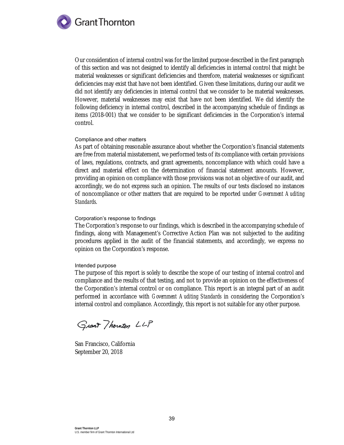

Our consideration of internal control was for the limited purpose described in the first paragraph of this section and was not designed to identify all deficiencies in internal control that might be material weaknesses or significant deficiencies and therefore, material weaknesses or significant deficiencies may exist that have not been identified. Given these limitations, during our audit we did not identify any deficiencies in internal control that we consider to be material weaknesses. However, material weaknesses may exist that have not been identified. We did identify the following deficiency in internal control, described in the accompanying schedule of findings as items (2018-001) that we consider to be significant deficiencies in the Corporation's internal control.

#### Compliance and other matters

As part of obtaining reasonable assurance about whether the Corporation's financial statements are free from material misstatement, we performed tests of its compliance with certain provisions of laws, regulations, contracts, and grant agreements, noncompliance with which could have a direct and material effect on the determination of financial statement amounts. However, providing an opinion on compliance with those provisions was not an objective of our audit, and accordingly, we do not express such an opinion. The results of our tests disclosed no instances of noncompliance or other matters that are required to be reported under *Government Auditing Standards*.

#### Corporation's response to findings

The Corporation's response to our findings, which is described in the accompanying schedule of findings, along with Management's Corrective Action Plan was not subjected to the auditing procedures applied in the audit of the financial statements, and accordingly, we express no opinion on the Corporation's response.

#### Intended purpose

The purpose of this report is solely to describe the scope of our testing of internal control and compliance and the results of that testing, and not to provide an opinion on the effectiveness of the Corporation's internal control or on compliance. This report is an integral part of an audit performed in accordance with *Government Auditing Standards* in considering the Corporation's internal control and compliance. Accordingly, this report is not suitable for any other purpose.

Grant Thounton LLP

San Francisco, California September 20, 2018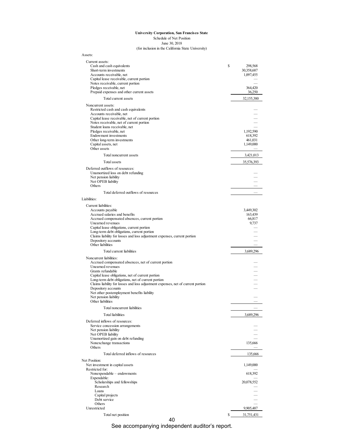| Assets:                                                                                                                                    |                                          |
|--------------------------------------------------------------------------------------------------------------------------------------------|------------------------------------------|
| Current assets:<br>Cash and cash equivalents<br>Short-term investments<br>Accounts receivable, net                                         | \$<br>298,568<br>30,358,687<br>1,097,455 |
| Capital lease receivable, current portion<br>Notes receivable, current portion                                                             |                                          |
| Pledges receivable, net<br>Prepaid expenses and other current assets                                                                       | 364,420<br>36,250                        |
| Total current assets                                                                                                                       | 32,155,380                               |
| Noncurrent assets:<br>Restricted cash and cash equivalents<br>Accounts receivable, net<br>Capital lease receivable, net of current portion |                                          |
| Notes receivable, net of current portion<br>Student loans receivable, net<br>Pledges receivable, net                                       | 1,192,590                                |
| Endowment investments                                                                                                                      | 618,392                                  |
| Other long-term investments<br>Capital assets, net                                                                                         | 461,031<br>1,149,000                     |
| Other assets                                                                                                                               |                                          |
| Total noncurrent assets                                                                                                                    | 3,421,013                                |
| Total assets                                                                                                                               | 35,576,393                               |
| Deferred outflows of resources:<br>Unamortized loss on debt refunding<br>Net pension liability                                             |                                          |
| Net OPEB liability<br>Others                                                                                                               |                                          |
| Total deferred outflows of resources                                                                                                       |                                          |
| Liabilities:                                                                                                                               |                                          |
| Current liabilities:                                                                                                                       |                                          |
| Accounts payable                                                                                                                           | 3,449,302                                |
| Accrued salaries and benefits<br>Accrued compensated absences, current portion                                                             | 163,439<br>66,817                        |
| Unearned revenues                                                                                                                          | 9,737                                    |
| Capital lease obligations, current portion<br>Long-term debt obligations, current portion                                                  |                                          |
| Claims liability for losses and loss adjustment expenses, current portion                                                                  |                                          |
| Depository accounts                                                                                                                        |                                          |
| Other liabilities                                                                                                                          |                                          |
| Total current liabilities                                                                                                                  | 3,689,296                                |
| Noncurrent liabilities:<br>Accrued compensated absences, net of current portion                                                            |                                          |
| Unearned revenues                                                                                                                          |                                          |
| Grants refundable                                                                                                                          |                                          |
| Capital lease obligations, net of current portion<br>Long-term debt obligations, net of current portion                                    | $\frac{1}{1}$                            |
| Claims liability for losses and loss adjustment expenses, net of current portion                                                           |                                          |
| Depository accounts<br>Net other postemployment benefits liability                                                                         |                                          |
| Net pension liability                                                                                                                      |                                          |
| Other liabilities                                                                                                                          |                                          |
| Total noncurrent liabilities                                                                                                               |                                          |
| <b>Total liabilities</b>                                                                                                                   | 3,689,296                                |
| Deferred inflows of resources:                                                                                                             |                                          |
| Service concession arrangements<br>Net pension liability                                                                                   |                                          |
| Net OPEB liability                                                                                                                         |                                          |
| Unamortized gain on debt refunding<br>Nonexchange transactions                                                                             | 135,666                                  |
| <b>Others</b>                                                                                                                              |                                          |
| Total deferred inflows of resources                                                                                                        | 135,666                                  |
| Net Position:                                                                                                                              |                                          |
| Net investment in capital assets<br>Restricted for:                                                                                        | 1,149,000                                |
| Nonexpendable - endowments                                                                                                                 | 618,392                                  |
| Expendable:<br>Scholarships and fellowships                                                                                                | 20,078,552                               |
| Research                                                                                                                                   |                                          |
| Loans<br>Capital projects                                                                                                                  |                                          |
| Debt service                                                                                                                               |                                          |
| Others<br>Unrestricted                                                                                                                     |                                          |
|                                                                                                                                            | 9,905,487                                |
| Total net position                                                                                                                         | \$<br>31,751,431                         |

40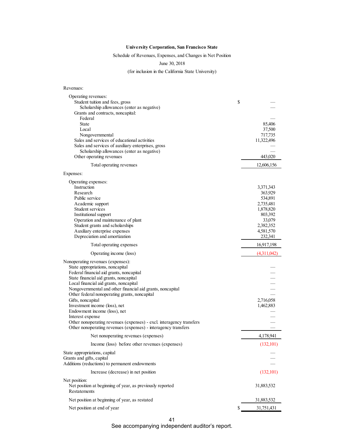#### Schedule of Revenues, Expenses, and Changes in Net Position

June 30, 2018

(for inclusion in the California State University)

Revenues:

| Operating revenues:<br>Student tuition and fees, gross                                             | \$                   |
|----------------------------------------------------------------------------------------------------|----------------------|
| Scholarship allowances (enter as negative)<br>Grants and contracts, noncapital:                    |                      |
| Federal<br><b>State</b><br>Local                                                                   | 85,406<br>37,500     |
| Nongovernmental                                                                                    | 717,735              |
| Sales and services of educational activities<br>Sales and services of auxiliary enterprises, gross | 11,322,496           |
| Scholarship allowances (enter as negative)                                                         |                      |
| Other operating revenues                                                                           | 443,020              |
| Total operating revenues                                                                           | 12,606,156           |
| Expenses:                                                                                          |                      |
| Operating expenses:                                                                                |                      |
| Instruction<br>Research                                                                            | 3,371,343<br>363,929 |
| Public service                                                                                     | 534,891              |
| Academic support                                                                                   | 2,735,481            |
| Student services                                                                                   | 1,878,820            |
| Institutional support<br>Operation and maintenance of plant                                        | 803,392<br>33,079    |
| Student grants and scholarships                                                                    | 2,382,352            |
| Auxiliary enterprise expenses                                                                      | 4,581,570            |
| Depreciation and amortization                                                                      | 232,341              |
| Total operating expenses                                                                           | 16,917,198           |
| Operating income (loss)                                                                            | (4.311,042)          |
| Nonoperating revenues (expenses):                                                                  |                      |
| State appropriations, noncapital<br>Federal financial aid grants, noncapital                       |                      |
| State financial aid grants, noncapital                                                             |                      |
| Local financial aid grants, noncapital                                                             |                      |
| Nongovernmental and other financial aid grants, noncapital                                         |                      |
| Other federal nonoperating grants, noncapital<br>Gifts, noncapital                                 | 2,716,058            |
| Investment income (loss), net                                                                      | 1,462,883            |
| Endowment income (loss), net                                                                       |                      |
| Interest expense<br>Other nonoperating revenues (expenses) - excl. interagency transfers           |                      |
| Other nonoperating revenues (expenses) - interagency transfers                                     |                      |
| Net nonoperating revenues (expenses)                                                               | 4,178,941            |
| Income (loss) before other revenues (expenses)                                                     | (132, 101)           |
| State appropriations, capital                                                                      |                      |
| Grants and gifts, capital<br>Additions (reductions) to permanent endowments                        |                      |
| Increase (decrease) in net position                                                                | (132, 101)           |
| Net position:                                                                                      |                      |
| Net position at beginning of year, as previously reported<br><b>Restatements</b>                   | 31,883,532           |
| Net position at beginning of year, as restated                                                     | 31,883,532           |
| Net position at end of year                                                                        | \$<br>31,751,431     |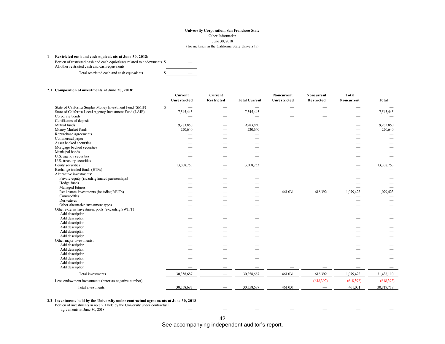#### **1 Restricted cash and cash equivalents at June 30, 2018:**

Portion of restricted cash and cash equivalents related to endowments \$ — All other restricted cash and cash equivalents

Total restricted cash and cash equivalents  $\sim$ 

|  |  | 2.1 Composition of investments at June 30, 2018: |  |  |  |
|--|--|--------------------------------------------------|--|--|--|
|--|--|--------------------------------------------------|--|--|--|

|                                                          | Current<br>Unrestricted | Current<br><b>Restricted</b> | <b>Total Current</b> | Noncurrent<br>Unrestricted | <b>Noncurrent</b><br><b>Restricted</b> | <b>Total</b><br>Noncurrent | <b>Total</b> |
|----------------------------------------------------------|-------------------------|------------------------------|----------------------|----------------------------|----------------------------------------|----------------------------|--------------|
| State of California Surplus Money Investment Fund (SMIF) | $\mathbb{S}$            |                              |                      |                            |                                        |                            |              |
| State of California Local Agency Investment Fund (LAIF)  | 7,545,445               |                              | 7,545,445            |                            |                                        |                            | 7,545,445    |
| Corporate bonds                                          |                         | -                            |                      |                            |                                        |                            |              |
| Certificates of deposit                                  |                         |                              |                      |                            |                                        |                            |              |
| Mutual funds                                             | 9,283,850               | -                            | 9,283,850            |                            |                                        |                            | 9,283,850    |
| Money Market funds                                       | 220,640                 | $\overline{\phantom{0}}$     | 220,640              |                            |                                        |                            | 220,640      |
| Repurchase agreements                                    |                         |                              |                      |                            |                                        |                            |              |
| Commercial paper                                         |                         |                              |                      |                            |                                        |                            |              |
| Asset backed securities                                  |                         |                              |                      |                            |                                        |                            |              |
| Mortgage backed securities                               |                         |                              |                      |                            |                                        |                            |              |
| Municipal bonds                                          |                         |                              |                      |                            |                                        |                            |              |
| U.S. agency securities                                   |                         |                              |                      |                            |                                        |                            |              |
| U.S. treasury securities                                 |                         |                              |                      |                            |                                        |                            |              |
| Equity securities                                        | 13,308,753              |                              | 13,308,753           |                            |                                        |                            | 13,308,753   |
| Exchange traded funds (ETFs)                             |                         | - 1                          |                      |                            |                                        |                            |              |
| Alternative investments:                                 |                         |                              |                      |                            |                                        |                            |              |
| Private equity (including limited partnerships)          |                         |                              |                      |                            |                                        |                            |              |
| Hedge funds                                              |                         |                              |                      |                            |                                        |                            |              |
| Managed futures                                          |                         |                              |                      |                            |                                        |                            |              |
| Real estate investments (including REITs)                |                         |                              | -                    | 461,031                    | 618,392                                | 1,079,423                  | 1,079,423    |
| Commodities                                              |                         |                              |                      |                            |                                        |                            |              |
| Derivatives                                              |                         |                              |                      |                            |                                        |                            |              |
| Other alternative investment types                       |                         |                              |                      |                            |                                        |                            |              |
| Other external investment pools (excluding SWIFT)        |                         |                              |                      |                            |                                        |                            |              |
| Add description                                          |                         |                              |                      |                            |                                        |                            |              |
| Add description                                          |                         |                              |                      |                            |                                        |                            |              |
| Add description                                          |                         |                              |                      |                            |                                        |                            |              |
| Add description                                          |                         |                              |                      |                            |                                        |                            |              |
| Add description                                          |                         |                              |                      |                            |                                        |                            |              |
| Add description                                          |                         |                              |                      |                            |                                        |                            |              |
| Other major investments:                                 |                         |                              |                      |                            |                                        |                            |              |
| Add description                                          |                         |                              |                      |                            |                                        |                            |              |
| Add description                                          |                         |                              |                      |                            |                                        |                            |              |
| Add description                                          |                         |                              |                      |                            |                                        |                            |              |
| Add description                                          |                         |                              |                      |                            |                                        |                            |              |
| Add description                                          |                         |                              |                      |                            |                                        |                            |              |
| Add description                                          |                         |                              |                      |                            |                                        |                            |              |
| Total investments                                        | 30,358,687              |                              | 30,358,687           | 461,031                    | 618,392                                | 1,079,423                  | 31,438,110   |
| Less endowment investments (enter as negative number)    |                         |                              |                      |                            | (618,392)                              | (618,392)                  | (618.392)    |
| Total investments                                        | 30,358,687              |                              | 30,358,687           | 461,031                    |                                        | 461,031                    | 30,819,718   |

#### **2.2 Investments held by the University under contractual agreements at June 30, 2018:**

Portion of investments in note 2.1 held by the University under contractual

agreements at June 30, 2018: — — — — — — —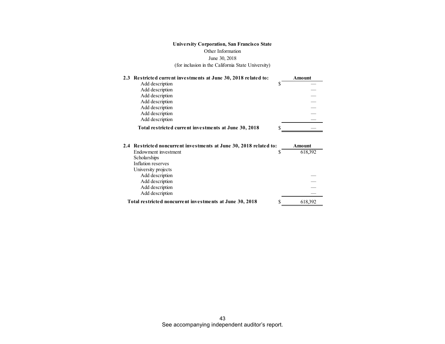| 2.3 Restricted current investments at June 30, 2018 related to: |   | Amount |
|-----------------------------------------------------------------|---|--------|
| Add description                                                 |   |        |
| Add description                                                 |   |        |
| Add description                                                 |   |        |
| Add description                                                 |   |        |
| Add description                                                 |   |        |
| Add description                                                 |   |        |
| Add description                                                 |   |        |
| Total restricted current investments at June 30, 2018           | S |        |

| 2.4 Restricted noncurrent investments at June 30, 2018 related to: |   | Amount  |
|--------------------------------------------------------------------|---|---------|
| Endowment investment                                               |   | 618,392 |
| Scholarships                                                       |   |         |
| Inflation reserves                                                 |   |         |
| University projects                                                |   |         |
| Add description                                                    |   |         |
| Add description                                                    |   |         |
| Add description                                                    |   |         |
| Add description                                                    |   |         |
| Total restricted noncurrent investments at June 30, 2018           | S | 618,392 |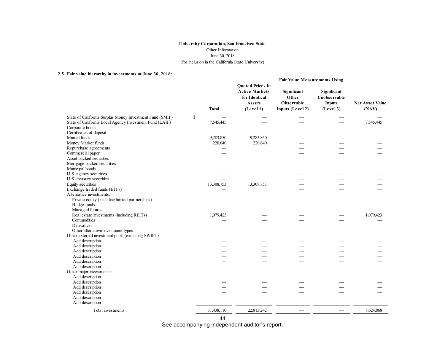#### **2.5 Fair value hierarchy in investments at June 30, 2018:**

|                                                          |              |                                                                                                 | <b>Fair Value Measurements Using</b>                   |                                                           |                                 |
|----------------------------------------------------------|--------------|-------------------------------------------------------------------------------------------------|--------------------------------------------------------|-----------------------------------------------------------|---------------------------------|
|                                                          | <b>Total</b> | <b>Quoted Prices in</b><br><b>Active Markets</b><br>for Identical<br><b>Assets</b><br>(Level 1) | Significant<br>Other<br>Observable<br>Inputs (Level 2) | Significant<br>Unobservable<br><b>Inputs</b><br>(Level 3) | <b>Net Asset Value</b><br>(NAV) |
| State of California Surplus Money Investment Fund (SMIF) | \$           |                                                                                                 |                                                        |                                                           |                                 |
| State of California Local Agency Investment Fund (LAIF)  | 7,545,445    |                                                                                                 |                                                        |                                                           | 7,545,445                       |
| Corporate bonds                                          |              |                                                                                                 |                                                        |                                                           |                                 |
| Certificates of deposit                                  |              |                                                                                                 |                                                        |                                                           |                                 |
| Mutual funds                                             | 9,283,850    | 9,283,850                                                                                       |                                                        |                                                           |                                 |
| Money Market funds                                       | 220,640      | 220,640                                                                                         |                                                        |                                                           |                                 |
| Repurchase agreements                                    |              |                                                                                                 |                                                        |                                                           |                                 |
| Commercial paper                                         |              |                                                                                                 |                                                        |                                                           |                                 |
| Asset backed securities                                  |              |                                                                                                 |                                                        |                                                           |                                 |
| Mortgage backed securities                               |              |                                                                                                 |                                                        |                                                           |                                 |
| Municipal bonds                                          |              |                                                                                                 |                                                        |                                                           |                                 |
| U.S. agency securities                                   |              |                                                                                                 |                                                        |                                                           |                                 |
| U.S. treasury securities                                 |              |                                                                                                 |                                                        |                                                           |                                 |
| Equity securities                                        | 13,308,753   | 13,308,753                                                                                      |                                                        |                                                           |                                 |
| Exchange traded funds (ETFs)                             |              |                                                                                                 |                                                        |                                                           |                                 |
| Alternative investments:                                 |              |                                                                                                 |                                                        |                                                           |                                 |
| Private equity (including limited partnerships)          |              |                                                                                                 |                                                        |                                                           |                                 |
| Hedge funds                                              |              |                                                                                                 |                                                        |                                                           |                                 |
| Managed futures                                          |              |                                                                                                 |                                                        |                                                           |                                 |
| Real estate investments (including REITs)                | 1,079,423    |                                                                                                 |                                                        |                                                           | 1,079,423                       |
| Commodities                                              |              |                                                                                                 |                                                        |                                                           |                                 |
| Derivatives                                              |              |                                                                                                 |                                                        |                                                           |                                 |
| Other alternative investment types                       |              |                                                                                                 |                                                        |                                                           |                                 |
| Other external investment pools (excluding SWIFT)        |              |                                                                                                 |                                                        |                                                           |                                 |
| Add description                                          |              |                                                                                                 |                                                        |                                                           |                                 |
| Add description                                          |              |                                                                                                 |                                                        |                                                           |                                 |
| Add description                                          |              |                                                                                                 |                                                        |                                                           |                                 |
| Add description                                          |              |                                                                                                 |                                                        |                                                           |                                 |
| Add description                                          |              |                                                                                                 |                                                        |                                                           |                                 |
| Add description                                          |              |                                                                                                 |                                                        |                                                           |                                 |
| Other major investments:                                 |              |                                                                                                 |                                                        |                                                           |                                 |
| Add description                                          |              |                                                                                                 |                                                        |                                                           |                                 |
| Add description                                          |              |                                                                                                 |                                                        |                                                           |                                 |
| Add description                                          |              |                                                                                                 |                                                        |                                                           |                                 |
| Add description                                          |              |                                                                                                 |                                                        |                                                           |                                 |
| Add description                                          |              |                                                                                                 |                                                        |                                                           |                                 |
| Add description                                          |              |                                                                                                 |                                                        |                                                           |                                 |
| Total investments                                        | 31,438,110   | 22,813,242                                                                                      |                                                        |                                                           | 8,624,868                       |

44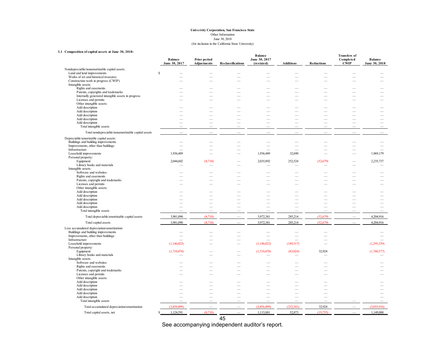#### **University Corporation, San Francisco State** June 30, 2018 Other Information (for inclusion in the California State University)

#### **3.1 Composition of capital assets at June 30, 2018:**

|                                                                                          | <b>Balance</b><br>June 30, 2017 | Prior period<br>Adjustments | Reclassifications        | <b>Balance</b><br>June 30, 2017<br>(restated) | <b>Additions</b>         | <b>Reductions</b>        | <b>Transfers of</b><br>Completed<br><b>CWIP</b> | <b>Balance</b><br>June 30, 2018 |
|------------------------------------------------------------------------------------------|---------------------------------|-----------------------------|--------------------------|-----------------------------------------------|--------------------------|--------------------------|-------------------------------------------------|---------------------------------|
| Nondepreciable/nonamortizable capital assets:                                            |                                 |                             |                          |                                               |                          |                          |                                                 |                                 |
| Land and land improvements                                                               | $\mathbf S$                     |                             |                          |                                               |                          |                          |                                                 |                                 |
| Works of art and historical treasures                                                    |                                 |                             |                          |                                               |                          |                          |                                                 |                                 |
| Construction work in progress (CWIP)                                                     |                                 |                             |                          |                                               |                          |                          |                                                 |                                 |
| Intangible assets:                                                                       |                                 |                             |                          |                                               |                          |                          |                                                 |                                 |
| Rights and easements                                                                     |                                 |                             |                          | -                                             | -                        |                          |                                                 |                                 |
| Patents, copyrights and trademarks<br>Internally generated intangible assets in progress |                                 |                             |                          | ÷.                                            | ÷.                       |                          |                                                 |                                 |
| Licenses and permits                                                                     |                                 |                             |                          |                                               | -                        |                          |                                                 |                                 |
| Other intangible assets:                                                                 |                                 |                             |                          |                                               |                          |                          |                                                 |                                 |
| Add description                                                                          |                                 |                             |                          |                                               |                          |                          |                                                 |                                 |
| Add description                                                                          |                                 |                             |                          |                                               | ۰                        |                          |                                                 |                                 |
| Add description                                                                          |                                 |                             |                          |                                               |                          |                          |                                                 |                                 |
| Add description                                                                          |                                 |                             |                          |                                               |                          |                          |                                                 | $\overline{\phantom{0}}$        |
| Add description                                                                          | -                               |                             |                          | -                                             |                          |                          |                                                 | $\overline{\phantom{0}}$        |
| Total intangible assets                                                                  | $\overline{\phantom{0}}$        | $\overline{\phantom{a}}$    | $\overline{\phantom{a}}$ | $\overline{\phantom{0}}$                      | L.                       | $\overline{\phantom{0}}$ |                                                 | $\overline{\phantom{0}}$        |
| Total nondepreciable/nonamortizable capital assets                                       |                                 |                             |                          |                                               |                          |                          |                                                 |                                 |
| Depreciable/amortizable capital assets:                                                  |                                 |                             |                          |                                               |                          |                          |                                                 |                                 |
| Buildings and building improvements                                                      |                                 |                             |                          |                                               |                          |                          |                                                 |                                 |
| Improvements, other than buildings                                                       |                                 |                             | $\overline{\phantom{0}}$ | $\overline{\phantom{a}}$                      | $\overline{\phantom{0}}$ | $\overline{\phantom{0}}$ |                                                 | -                               |
| Infrastructure                                                                           |                                 |                             | $\overline{\phantom{0}}$ |                                               | $\overline{\phantom{a}}$ | $\overline{\phantom{0}}$ |                                                 |                                 |
| Leasehold improvements                                                                   | 1,936,489                       |                             |                          | 1,936,489                                     | 32,690                   |                          |                                                 | 1,969,179                       |
| Personal property:<br>Equipment                                                          |                                 |                             |                          | 2,035,892                                     | 252,524                  |                          |                                                 |                                 |
| Library books and materials                                                              | 2,044,602                       | (8,710)                     |                          |                                               |                          | (52, 679)                |                                                 | 2,235,737                       |
| Intangible assets:                                                                       |                                 |                             |                          |                                               |                          |                          |                                                 |                                 |
| Software and websites                                                                    |                                 |                             |                          |                                               |                          |                          |                                                 |                                 |
| Rights and easements                                                                     |                                 |                             |                          | $\overline{\phantom{0}}$                      | -                        |                          |                                                 |                                 |
| Patents, copyright and trademarks                                                        |                                 | -                           |                          | $\overline{\phantom{0}}$                      | -                        |                          |                                                 |                                 |
| Licenses and permits                                                                     |                                 |                             |                          |                                               |                          |                          |                                                 |                                 |
| Other intangible assets:                                                                 |                                 |                             |                          |                                               |                          |                          |                                                 |                                 |
| Add description                                                                          |                                 |                             |                          |                                               |                          |                          |                                                 |                                 |
| Add description                                                                          |                                 |                             |                          |                                               |                          |                          |                                                 |                                 |
| Add description                                                                          |                                 |                             |                          |                                               |                          |                          |                                                 | -                               |
| Add description                                                                          |                                 |                             |                          |                                               |                          |                          |                                                 |                                 |
| Add description                                                                          | $\overline{\phantom{0}}$        |                             |                          | $\overline{\phantom{0}}$                      | $\overline{\phantom{0}}$ |                          |                                                 | $\overline{\phantom{0}}$        |
| Total intangible assets                                                                  |                                 |                             |                          |                                               |                          | L.                       |                                                 | L.                              |
| Total depreciable/amortizable capital assets                                             | 3,981,090                       | (8,710)                     | $\overline{\phantom{0}}$ | 3,972,381                                     | 285,214                  | (52.679)                 |                                                 | 4,204,916                       |
| Total capital assets                                                                     | 3,981,090                       | (8,710)                     | $\overline{\phantom{0}}$ | 3,972,381                                     | 285,214                  | (52, 679)                |                                                 | 4,204,916                       |
| Less accumulated depreciation/amortization:                                              |                                 |                             |                          |                                               |                          |                          |                                                 |                                 |
| Buildings and building improvements                                                      |                                 |                             |                          |                                               |                          |                          |                                                 |                                 |
| Improvements, other than buildings                                                       | -                               |                             | -                        | $\overline{\phantom{0}}$                      |                          | -                        |                                                 |                                 |
| Infrastructure                                                                           |                                 |                             | $\overline{\phantom{a}}$ |                                               |                          |                          |                                                 |                                 |
| Leasehold improvements<br>Personal property:                                             | (1,146,022)                     |                             |                          | (1,146,022)                                   | (149,317)                |                          |                                                 | (1,295,339)                     |
| Equipment                                                                                | (1,710,478)                     |                             |                          | (1,710,478)                                   | (83,024)                 | 32,924                   |                                                 | (1,760,577)                     |
| Library books and materials                                                              |                                 |                             |                          |                                               |                          |                          |                                                 |                                 |
| Intangible assets:                                                                       |                                 |                             |                          |                                               |                          |                          |                                                 |                                 |
| Software and websites                                                                    |                                 |                             |                          |                                               |                          |                          |                                                 |                                 |
| Rights and easements                                                                     |                                 |                             |                          | $\overline{\phantom{0}}$                      | $\overline{\phantom{0}}$ |                          |                                                 |                                 |
| Patents, copyright and trademarks                                                        |                                 |                             |                          | $\overline{\phantom{0}}$                      | $\overline{\phantom{0}}$ |                          |                                                 |                                 |
| Licenses and permits                                                                     |                                 |                             |                          |                                               |                          |                          |                                                 |                                 |
| Other intangible assets:                                                                 |                                 |                             |                          |                                               |                          |                          |                                                 |                                 |
| Add description                                                                          |                                 |                             |                          |                                               |                          |                          |                                                 |                                 |
| Add description                                                                          |                                 |                             |                          |                                               |                          |                          |                                                 |                                 |
| Add description                                                                          |                                 |                             |                          | $\overline{\phantom{0}}$                      | -                        | -                        |                                                 |                                 |
| Add description                                                                          |                                 |                             |                          |                                               | $\overline{\phantom{0}}$ |                          |                                                 |                                 |
| Add description                                                                          |                                 |                             | $\overline{\phantom{0}}$ | $\overline{\phantom{0}}$                      | $\overline{\phantom{0}}$ | $\overline{\phantom{0}}$ |                                                 | -                               |
| Total intangible assets                                                                  |                                 |                             | $\overline{\phantom{0}}$ | $\overline{\phantom{0}}$                      | $\overline{\phantom{a}}$ | $\overline{\phantom{0}}$ |                                                 | $\overline{\phantom{0}}$        |
| Total accumulated depreciation/amortization                                              | (2.856.499)                     |                             |                          | (2.856.499)                                   | (232.341)                | 32,924                   |                                                 | (3.055.916)                     |
| Total capital assets, net                                                                | 1,124,591                       | (8,710)                     | $\overline{\phantom{a}}$ | 1,115,881                                     | 52,873                   | (19,755)                 | $\overline{\phantom{a}}$                        | 1,149,000                       |

45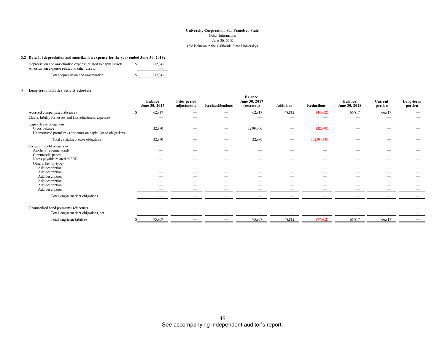#### **3.2 Detail of depreciation and amortization expense for the year ended June 30, 2018:**

| Depreciation and amortization expense related to capital assets<br>Amortization expense related to other assets | 232.341 |
|-----------------------------------------------------------------------------------------------------------------|---------|
| Total depreciation and amortization                                                                             | 232.341 |

#### **4 Long-term liabilities activity schedule:**

|                                                                                                                                                                                                                                                        | <b>Balance</b><br>June 30, 2017 | Prior period<br>adjustments | Reclassifications | <b>Balance</b><br>June 30, 2017<br>(restated) | <b>Additions</b>  | <b>Reductions</b> | <b>Balance</b><br>June 30, 2018 | Current<br>portion | Long-term<br>portion |
|--------------------------------------------------------------------------------------------------------------------------------------------------------------------------------------------------------------------------------------------------------|---------------------------------|-----------------------------|-------------------|-----------------------------------------------|-------------------|-------------------|---------------------------------|--------------------|----------------------|
| Accrued compensated absences<br>Claims liability for losses and loss adjustment expenses                                                                                                                                                               | 62,817<br>-                     |                             |                   | 62,817                                        | 48,812            | (44, 812)         | 66,817                          | 66,817             |                      |
| Capital lease obligations:<br>Gross balance<br>Unamortized premium / (discount) on capital lease obligations                                                                                                                                           | 32,990                          |                             |                   | 32,990.00                                     |                   | (32,990)          |                                 |                    |                      |
| Total capitalized lease obligations                                                                                                                                                                                                                    | 32,990                          |                             |                   | 32,990                                        | $\hspace{0.05cm}$ | (32,990.00)       |                                 | –                  |                      |
| Long-term debt obligations:<br>Auxiliary revenue bonds<br>Commercial paper<br>Notes payable related to SRB<br>Others: (list by type)<br>Add description<br>Add description<br>Add description<br>Add description<br>Add description<br>Add description |                                 |                             |                   | $\sim$                                        |                   |                   |                                 |                    |                      |
| Total long-term debt obligations                                                                                                                                                                                                                       |                                 |                             |                   |                                               |                   |                   |                                 |                    |                      |
| Unamortized bond premium / (discount)<br>Total long-term debt obligations, net                                                                                                                                                                         |                                 |                             |                   |                                               |                   |                   |                                 | –<br>—             |                      |
| Total long-term liabilities                                                                                                                                                                                                                            | 95,807                          |                             |                   | 95,807                                        | 48,812            | (77,802)          | 66,817                          | 66,817             |                      |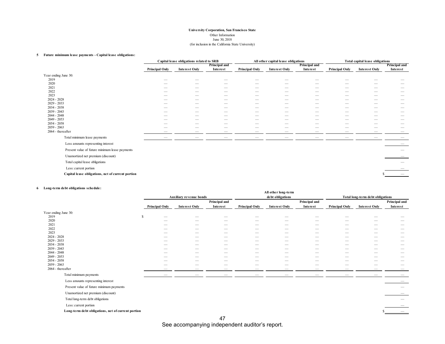#### **5 Future minimum lease payments - Capital lease obligations:**

|                                                   | Capital lease obligations related to SRB             |                      |                               |                          | All other capital lease obligations |                               | <b>Total capital lease obligations</b> |                          |               |
|---------------------------------------------------|------------------------------------------------------|----------------------|-------------------------------|--------------------------|-------------------------------------|-------------------------------|----------------------------------------|--------------------------|---------------|
|                                                   |                                                      |                      | Principal and                 |                          |                                     | Principal and                 |                                        |                          | Principal and |
|                                                   | <b>Principal Only</b>                                | <b>Interest Only</b> | Interest                      | <b>Principal Only</b>    | <b>Interest Only</b>                | Interest                      | <b>Principal Only</b>                  | <b>Interest Only</b>     | Interest      |
| Year ending June 30:                              |                                                      |                      |                               |                          |                                     |                               |                                        |                          |               |
| 2019                                              | -                                                    |                      |                               |                          |                                     |                               |                                        |                          |               |
| 2020                                              | -                                                    | -                    | $\sim$                        | -                        |                                     | -                             | -                                      | -                        |               |
| 2021                                              | $\sim$                                               | -                    | $\overline{\phantom{a}}$      | -                        | $\sim$                              | -                             | -                                      | -                        |               |
| 2022                                              | __                                                   | -                    | $\overline{\phantom{a}}$      | -                        | $\sim$                              | -                             | -                                      | -                        | -             |
| 2023                                              |                                                      |                      |                               |                          |                                     |                               |                                        |                          |               |
| $2024 - 2028$                                     |                                                      |                      | --                            |                          | $\sim$                              | --                            | $\overline{\phantom{a}}$               | $\overline{\phantom{a}}$ |               |
| $2029 - 2033$<br>$2034 - 2038$                    |                                                      |                      | $\sim$                        | $\overline{\phantom{a}}$ | $\sim$                              | $\overline{\phantom{a}}$      | $\overline{\phantom{a}}$               | $\overline{\phantom{a}}$ |               |
| $2039 - 2043$                                     | $\overline{\phantom{a}}$<br>$\overline{\phantom{a}}$ | -<br>--              | $\overline{\phantom{a}}$<br>- | -                        | $\sim$                              | $\overline{\phantom{a}}$<br>- | -<br>_                                 | -<br>--                  | -             |
| $2044 - 2048$                                     |                                                      |                      | -                             |                          |                                     | -                             | -                                      | -                        |               |
| $2049 - 2053$                                     |                                                      |                      |                               |                          |                                     |                               |                                        |                          |               |
| $2054 - 2058$                                     | --                                                   | --                   | $\overline{\phantom{a}}$      | -                        | $\sim$                              | -                             | -                                      | -                        | $\sim$        |
| $2059 - 2063$                                     | $\sim$                                               |                      | -                             |                          |                                     | --                            | _                                      |                          | -             |
| 2064 - thereafter                                 | -                                                    | -                    | $\overline{\phantom{a}}$      | -                        | $\overline{\phantom{a}}$            |                               | -                                      |                          | -             |
| Total minimum lease payments                      | __                                                   |                      |                               |                          |                                     | -                             |                                        |                          |               |
| Less amounts representing interest                |                                                      |                      |                               |                          |                                     |                               |                                        |                          |               |
| Present value of future minimum lease payments    |                                                      |                      |                               |                          |                                     |                               |                                        |                          |               |
| Unamortized net premium (discount)                |                                                      |                      |                               |                          |                                     |                               |                                        |                          |               |
| Total capital lease obligations                   |                                                      |                      |                               |                          |                                     |                               |                                        |                          |               |
| Less: current portion                             |                                                      |                      |                               |                          |                                     |                               |                                        |                          |               |
| Capital lease obligations, net of current portion |                                                      |                      |                               |                          |                                     |                               |                                        |                          |               |
|                                                   |                                                      |                      |                               |                          |                                     |                               |                                        |                          |               |

#### **6 Long-term debt obligations schedule:**

| bong term acor oonganons seneaare.                 |                       |                                |                                                      |                       | All other long-term                |                                  |                       |                               |                                                      |  |
|----------------------------------------------------|-----------------------|--------------------------------|------------------------------------------------------|-----------------------|------------------------------------|----------------------------------|-----------------------|-------------------------------|------------------------------------------------------|--|
|                                                    |                       | <b>Auxiliary revenue bonds</b> |                                                      | debt obligations      |                                    | Total long-term debt obligations |                       |                               |                                                      |  |
|                                                    |                       | Principal and                  |                                                      |                       | Principal and                      |                                  |                       |                               |                                                      |  |
|                                                    | <b>Principal Only</b> | <b>Interest Only</b>           | Interest                                             | <b>Principal Only</b> | <b>Interest Only</b>               | Interest                         | <b>Principal Only</b> | <b>Interest Only</b>          | Interest                                             |  |
| Year ending June 30:                               |                       |                                |                                                      |                       |                                    |                                  |                       |                               |                                                      |  |
| 2019                                               | <sup>\$</sup>         |                                |                                                      |                       |                                    |                                  |                       |                               |                                                      |  |
| 2020                                               |                       |                                |                                                      |                       |                                    |                                  |                       |                               | $\sim$                                               |  |
| 2021                                               |                       |                                | $\sim$                                               |                       | $\overline{\phantom{a}}$           | -                                | -                     |                               | $\overline{\phantom{a}}$                             |  |
| 2022                                               |                       | -                              |                                                      | -                     |                                    | -                                |                       |                               |                                                      |  |
| 2023                                               |                       | _                              | $\overline{\phantom{a}}$                             | --                    | $\overline{\phantom{a}}$           | $\overline{\phantom{a}}$         | -                     | $\overline{\phantom{a}}$      | $\overline{\phantom{a}}$                             |  |
| $2024 - 2028$                                      |                       | _                              | $\overline{\phantom{a}}$                             | _                     | $\overline{\phantom{a}}$           | $\overline{\phantom{a}}$         | _                     | $\sim$                        |                                                      |  |
| 2029 - 2033                                        | -                     | -                              | $\overline{\phantom{a}}$                             | --                    | $\overline{\phantom{a}}$           | -                                | -                     | $\sim$                        | $\overline{\phantom{a}}$                             |  |
| 2034 - 2038<br>$2039 - 2043$                       | -<br>-                | -<br>-                         | $\overline{\phantom{a}}$<br>$\overline{\phantom{a}}$ | -<br>-                | $\overline{\phantom{a}}$<br>$\sim$ | -<br>-                           | -<br>-                | $\overline{\phantom{a}}$<br>- | $\overline{\phantom{a}}$<br>$\overline{\phantom{a}}$ |  |
| $2044 - 2048$                                      |                       |                                | $\sim$                                               | -                     | $\sim$                             | -                                | -                     | -                             | $\overline{\phantom{a}}$                             |  |
| 2049 - 2053                                        |                       |                                |                                                      | -                     | $\sim$                             | -                                | -                     | -                             | $\overline{\phantom{a}}$                             |  |
| $2054 - 2058$                                      |                       |                                |                                                      |                       | $\sim$                             | -                                | -                     |                               |                                                      |  |
| $2059 - 2063$                                      |                       |                                | $\overline{\phantom{a}}$                             | -                     | $\overline{\phantom{a}}$           |                                  |                       |                               |                                                      |  |
| 2064 - thereafter                                  |                       |                                |                                                      |                       |                                    |                                  |                       |                               | -                                                    |  |
| Total minimum payments                             |                       |                                |                                                      |                       |                                    | -                                | -                     |                               |                                                      |  |
| Less amounts representing interest                 |                       |                                |                                                      |                       |                                    |                                  |                       |                               |                                                      |  |
| Present value of future minimum payments           |                       |                                |                                                      |                       |                                    |                                  |                       |                               | $\qquad \qquad$                                      |  |
| Unamortized net premium (discount)                 |                       |                                |                                                      |                       |                                    |                                  |                       |                               |                                                      |  |
| Total long-term debt obligations                   |                       |                                |                                                      |                       |                                    |                                  |                       |                               |                                                      |  |
| Less: current portion                              |                       |                                |                                                      |                       |                                    |                                  |                       |                               |                                                      |  |
| Long-term debt obligations, net of current portion |                       |                                |                                                      |                       |                                    |                                  |                       |                               |                                                      |  |
|                                                    |                       |                                | 47                                                   |                       |                                    |                                  |                       |                               |                                                      |  |

See accompanying independent auditor's report.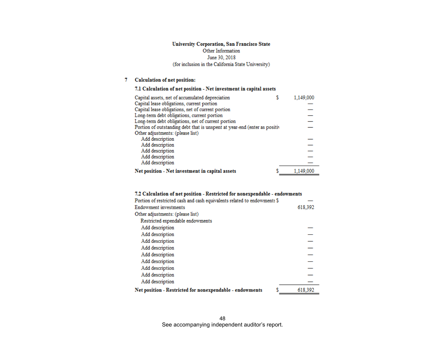#### 7 Calculation of net position:

#### 7.1 Calculation of net position - Net investment in capital assets

| Capital assets, net of accumulated depreciation                           | 1.149.000 |
|---------------------------------------------------------------------------|-----------|
| Capital lease obligations, current portion                                |           |
| Capital lease obligations, net of current portion                         |           |
| Long-term debt obligations, current portion                               |           |
| Long-term debt obligations, net of current portion                        |           |
| Portion of outstanding debt that is unspent at year-end (enter as positiv |           |
| Other adjustments: (please list)                                          |           |
| Add description                                                           |           |
| Add description                                                           |           |
| Add description                                                           |           |
| Add description                                                           |           |
| Add description                                                           |           |
| Net position - Net investment in capital assets                           | 1,149,000 |

#### 7.2 Calculation of net position - Restricted for nonexpendable - endowments

| Portion of restricted cash and cash equivalents related to endowments \$ |         |
|--------------------------------------------------------------------------|---------|
| Endowment investments                                                    | 618,392 |
| Other adjustments: (please list)                                         |         |
| Restricted expendable endowments                                         |         |
| Add description                                                          |         |
| Add description                                                          |         |
| Add description                                                          |         |
| Add description                                                          |         |
| Add description                                                          |         |
| Add description                                                          |         |
| Add description                                                          |         |
| Add description                                                          |         |
| Add description                                                          |         |
| Net position - Restricted for nonexpendable - endowments                 | 618.392 |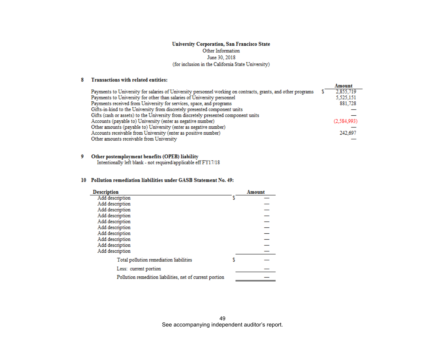#### 8 Transactions with related entities:

|                                                                                                              | Amount      |
|--------------------------------------------------------------------------------------------------------------|-------------|
| Payments to University for salaries of University personnel working on contracts, grants, and other programs | 2,855,719   |
| Payments to University for other than salaries of University personnel                                       | 5,525,151   |
| Payments received from University for services, space, and programs                                          | 881,728     |
| Gifts-in-kind to the University from discretely presented component units                                    |             |
| Gifts (cash or assets) to the University from discretely presented component units                           |             |
| Accounts (payable to) University (enter as negative number)                                                  | (2,584,993) |
| Other amounts (payable to) University (enter as negative number)                                             |             |
| Accounts receivable from University (enter as positive number)                                               | 242.697     |
| Other amounts receivable from University                                                                     |             |

#### 9 Other postemployment benefits (OPEB) liability

Intentionally left blank - not required/applicable eff FY17/18

#### 10 Pollution remediation liabilities under GASB Statement No. 49:

| <b>Description</b>                                       | Amount |
|----------------------------------------------------------|--------|
| Add description                                          |        |
| Add description                                          |        |
| Add description                                          |        |
| Add description                                          |        |
| Add description                                          |        |
| Add description                                          |        |
| Add description                                          |        |
| Add description                                          |        |
| Add description                                          |        |
| Add description                                          |        |
| Total pollution remediation liabilities                  |        |
| Less: current portion                                    |        |
| Pollution remedition liabilities, net of current portion |        |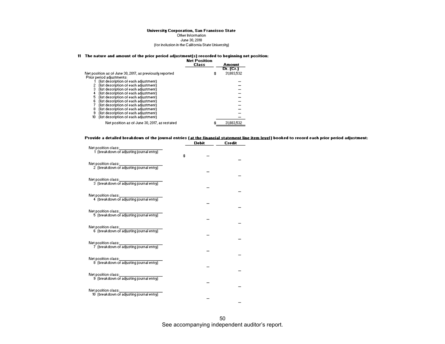Other Information June 30, 2018 (for inclusion in the California State University)

#### 11 The nature and amount of the prior period adjustment(s) recorded to beginning net position:

|                                                           | <b>Net Position</b><br>Class | Amount<br>Dr. (Cr.) |
|-----------------------------------------------------------|------------------------------|---------------------|
| Net position as of June 30, 2017, as previously reported. | \$                           | 31,883,532          |
| Prior period adjustments:                                 |                              |                     |
| (list description of each adjustment)                     |                              |                     |
| (list description of each adjustment)<br>2                |                              |                     |
| 3                                                         |                              |                     |
| (list description of each adjustment)                     |                              |                     |
| (list description of each adjustment)<br>4                |                              |                     |
| 5<br>(list description of each adjustment)                |                              |                     |
| 6<br>(list description of each adjustment)                |                              |                     |
| (list description of each adjustment)                     |                              |                     |
| (list description of each adjustment)<br>8                |                              |                     |
| 9<br>(list description of each adjustment)                |                              |                     |
| 10<br>(list description of each adjustment)               |                              |                     |
|                                                           |                              |                     |
| Net position as of June 30, 2017, as restated             |                              | 31,883,532          |
|                                                           |                              |                     |

## Provide a detailed breakdown of the journal entries <u>(at the financial statement line item level)</u> booked to record each prior period adjustment:<br>Debit Credit

|                                                                  | nebic | crearc |
|------------------------------------------------------------------|-------|--------|
| Net position class:<br>1 (breakdown of adjusting journal entry)  | \$    |        |
| Net position class:<br>2 (breakdown of adjusting journal entry)  |       |        |
| Net position class:<br>3 (breakdown of adjusting journal entry)  |       |        |
| Net position class:<br>4 (breakdown of adjusting journal entry)  |       |        |
| Net position class:<br>5 (breakdown of adjusting journal entry)  |       |        |
| Net position class:                                              |       |        |
| 6 (breakdown of adjusting journal entry)<br>Net position class:  |       |        |
| 7 (breakdown of adjusting journal entry)                         |       |        |
| Net position class:<br>8 (breakdown of adjusting journal entry)  |       |        |
| Net position class:<br>9 (breakdown of adjusting journal entry)  |       |        |
| Net position class:<br>10 (breakdown of adjusting journal entry) |       |        |

 $\overline{\phantom{a}}$